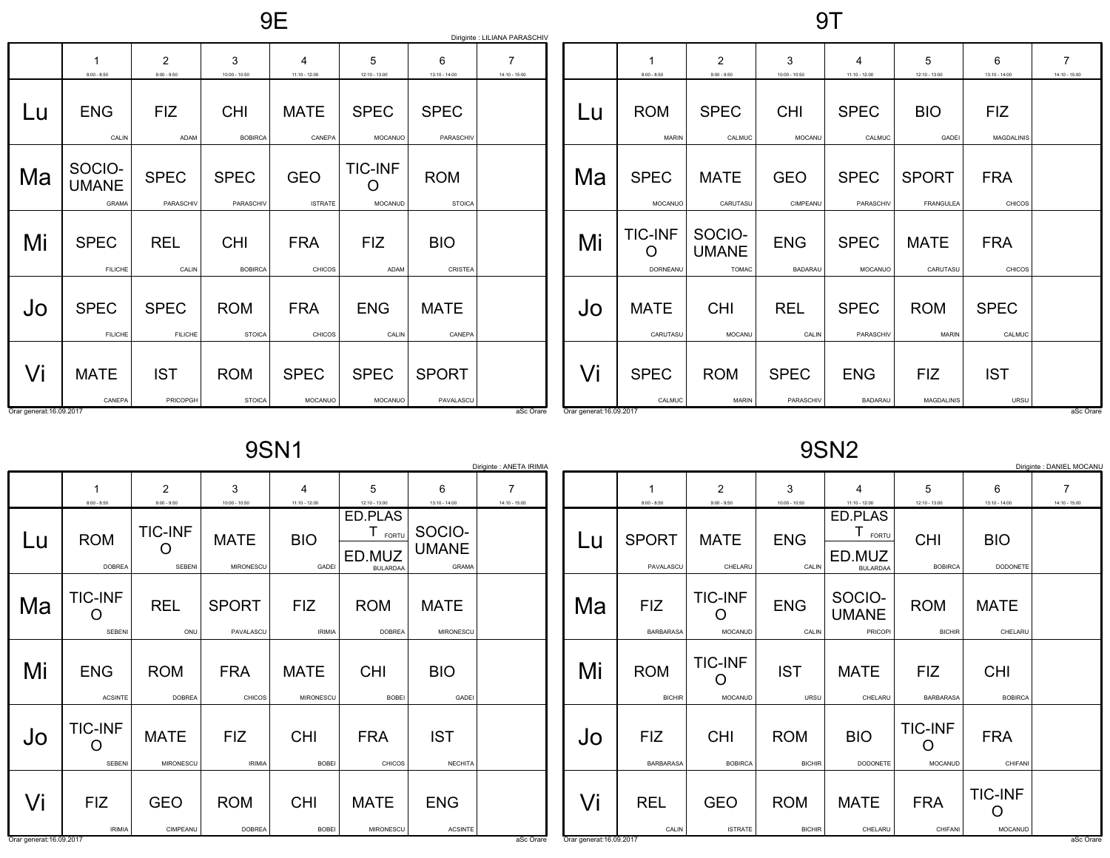9E

9T

|                                |                                        |                                 |                              |                              |                                  |                             | Diriginte : LILIANA PARASCHIV |
|--------------------------------|----------------------------------------|---------------------------------|------------------------------|------------------------------|----------------------------------|-----------------------------|-------------------------------|
|                                | 1<br>$8:00 - 8:50$                     | $\overline{2}$<br>$9:00 - 9:50$ | 3<br>10:00 - 10:50           | 4<br>11:10 - 12:00           | 5<br>12:10 - 13:00               | 6<br>13:10 - 14:00          | 7<br>14:10 - 15:00            |
| Lu                             | <b>ENG</b><br>CALIN                    | <b>FIZ</b><br>ADAM              | <b>CHI</b><br><b>BOBIRCA</b> | <b>MATE</b><br>CANEPA        | <b>SPEC</b><br><b>MOCANUO</b>    | <b>SPEC</b><br>PARASCHIV    |                               |
| Ma                             | SOCIO-<br><b>UMANE</b><br><b>GRAMA</b> | <b>SPEC</b><br>PARASCHIV        | <b>SPEC</b><br>PARASCHIV     | <b>GEO</b><br><b>ISTRATE</b> | <b>TIC-INF</b><br><b>MOCANUD</b> | <b>ROM</b><br><b>STOICA</b> |                               |
| Mi                             | <b>SPEC</b><br><b>FILICHE</b>          | <b>REL</b><br>CALIN             | <b>CHI</b><br><b>BOBIRCA</b> | <b>FRA</b><br><b>CHICOS</b>  | <b>FIZ</b><br>ADAM               | <b>BIO</b><br>CRISTEA       |                               |
| Jo                             | <b>SPEC</b><br><b>FILICHE</b>          | <b>SPEC</b><br><b>FILICHE</b>   | <b>ROM</b><br><b>STOICA</b>  | <b>FRA</b><br>CHICOS         | <b>ENG</b><br>CALIN              | <b>MATE</b><br>CANEPA       |                               |
| Vi<br>Orar generat: 16.09.2017 | <b>MATE</b><br>CANEPA                  | <b>IST</b><br>PRICOPGH          | <b>ROM</b><br><b>STOICA</b>  | <b>SPEC</b><br>MOCANUO       | <b>SPEC</b><br>MOCANUO           | <b>SPORT</b><br>PAVALASCU   | aSc Orare                     |

|                                | $8:00 - 8:50$                          | $\overline{2}$<br>$9:00 - 9:50$        | 3<br>10:00 - 10:50           | 4<br>$11:10 - 12:00$          | 5<br>12:10 - 13:00               | 6<br>13:10 - 14:00              | 7<br>14:10 - 15:00 |
|--------------------------------|----------------------------------------|----------------------------------------|------------------------------|-------------------------------|----------------------------------|---------------------------------|--------------------|
| Lu                             | <b>ROM</b><br><b>MARIN</b>             | <b>SPEC</b><br>CALMUC                  | <b>CHI</b><br><b>MOCANU</b>  | <b>SPEC</b><br>CALMUC         | <b>BIO</b><br>GADEI              | <b>FIZ</b><br><b>MAGDALINIS</b> |                    |
| Ma                             | <b>SPEC</b><br><b>MOCANUO</b>          | <b>MATE</b><br>CARUTASU                | <b>GEO</b><br>CIMPEANU       | <b>SPEC</b><br>PARASCHIV      | <b>SPORT</b><br><b>FRANGULEA</b> | <b>FRA</b><br>CHICOS            |                    |
| Mi                             | <b>TIC-INF</b><br>O<br><b>DORNEANU</b> | SOCIO-<br><b>UMANE</b><br><b>TOMAC</b> | <b>ENG</b><br><b>BADARAU</b> | <b>SPEC</b><br><b>MOCANUO</b> | <b>MATE</b><br>CARUTASU          | <b>FRA</b><br>CHICOS            |                    |
| Jo                             | <b>MATE</b><br>CARUTASU                | <b>CHI</b><br><b>MOCANU</b>            | <b>REL</b><br>CALIN          | <b>SPEC</b><br>PARASCHIV      | <b>ROM</b><br><b>MARIN</b>       | <b>SPEC</b><br>CALMUC           |                    |
| Vi<br>Orar generat: 16.09.2017 | <b>SPEC</b><br>CALMUC                  | <b>ROM</b><br><b>MARIN</b>             | <b>SPEC</b><br>PARASCHIV     | <b>ENG</b><br><b>BADARAU</b>  | <b>FIZ</b><br><b>MAGDALINIS</b>  | <b>IST</b><br>URSU              | aSc Orare          |

9SN1

|    |                                    |                                 |                             |                            |                                               |                                        | Diriginte : ANETA IRIMIA |
|----|------------------------------------|---------------------------------|-----------------------------|----------------------------|-----------------------------------------------|----------------------------------------|--------------------------|
|    | 1                                  | $\overline{2}$                  | 3                           | 4                          | 5                                             | 6                                      | 7                        |
|    | $8:00 - 8:50$                      | $9:00 - 9:50$                   | $10:00 - 10:50$             | $11:10 - 12:00$            | 12:10 - 13:00                                 | 13:10 - 14:00                          | 14:10 - 15:00            |
| Lu | <b>ROM</b><br><b>DOBREA</b>        | <b>TIC-INF</b><br>SEBENI        | <b>MATE</b><br>MIRONESCU    | <b>BIO</b><br>GADEI        | ED.PLAS<br>FORTU<br>ED.MUZ<br><b>BULARDAA</b> | SOCIO-<br><b>UMANE</b><br><b>GRAMA</b> |                          |
| Ma | <b>TIC-INF</b><br>$\Box$<br>SEBENI | <b>REL</b><br>ONU               | <b>SPORT</b><br>PAVALASCU   | FIZ<br><b>IRIMIA</b>       | <b>ROM</b><br><b>DOBREA</b>                   | <b>MATE</b><br>MIRONESCU               |                          |
|    |                                    |                                 |                             |                            |                                               |                                        |                          |
| Mi | <b>ENG</b><br><b>ACSINTE</b>       | <b>ROM</b><br><b>DOBREA</b>     | <b>FRA</b><br>CHICOS        | <b>MATE</b><br>MIRONESCU   | <b>CHI</b><br><b>BOBEI</b>                    | <b>BIO</b><br>GADEI                    |                          |
| Jo | <b>TIC-INF</b><br><b>SEBENI</b>    | <b>MATE</b><br><b>MIRONESCU</b> | <b>FIZ</b><br><b>IRIMIA</b> | <b>CHI</b><br><b>BOBEI</b> | <b>FRA</b><br>CHICOS                          | <b>IST</b><br><b>NECHITA</b>           |                          |
| Vi | <b>FIZ</b><br><b>IRIMIA</b>        | <b>GEO</b><br>CIMPEANU          | <b>ROM</b><br><b>DOBREA</b> | <b>CHI</b><br><b>BOBEI</b> | <b>MATE</b><br><b>MIRONESCU</b>               | <b>ENG</b><br><b>ACSINTE</b>           |                          |

9SN2

|                          |                                |                                |                             |                               |                                  |                                            | Diriginte : DANIEL MOCANU |
|--------------------------|--------------------------------|--------------------------------|-----------------------------|-------------------------------|----------------------------------|--------------------------------------------|---------------------------|
|                          |                                | 2                              | 3                           | $\overline{4}$                | 5                                | 6                                          | 7                         |
|                          | $8:00 - 8:50$                  | $9:00 - 9:50$                  | $10:00 - 10:50$             | $11:10 - 12:00$               | $12:10 - 13:00$                  | $13:10 - 14:00$                            | $14:10 - 15:00$           |
| Lu                       | <b>SPORT</b>                   | <b>MATE</b>                    | <b>ENG</b>                  | ED.PLAS<br>Τ<br>FORTU         | <b>CHI</b>                       | <b>BIO</b>                                 |                           |
|                          | PAVALASCU                      | CHELARU                        | CALIN                       | ED.MUZ<br><b>BULARDAA</b>     | <b>BOBIRCA</b>                   | <b>DODONETE</b>                            |                           |
| Ma                       | <b>FIZ</b>                     | <b>TIC-INF</b>                 | <b>ENG</b>                  | SOCIO-<br><b>UMANE</b>        | <b>ROM</b>                       | <b>MATE</b>                                |                           |
|                          | <b>BARBARASA</b>               | <b>MOCANUD</b>                 | CALIN                       | <b>PRICOPI</b>                | <b>BICHIR</b>                    | CHELARU                                    |                           |
| Mi                       | <b>ROM</b><br><b>BICHIR</b>    | <b>TIC-INF</b><br>Ω<br>MOCANUD | <b>IST</b><br>URSU          | <b>MATE</b><br>CHELARU        | <b>FIZ</b><br><b>BARBARASA</b>   | <b>CHI</b><br><b>BOBIRCA</b>               |                           |
| Jo                       | <b>FIZ</b><br><b>BARBARASA</b> | <b>CHI</b><br><b>BOBIRCA</b>   | <b>ROM</b><br><b>BICHIR</b> | <b>BIO</b><br><b>DODONETE</b> | <b>TIC-INF</b><br><b>MOCANUD</b> | <b>FRA</b><br>CHIFANI                      |                           |
| Vi                       | <b>REL</b>                     | <b>GEO</b>                     | <b>ROM</b>                  | <b>MATE</b>                   | <b>FRA</b>                       | <b>TIC-INF</b><br>$\overline{\phantom{a}}$ |                           |
| Orar generat: 16.09.2017 |                                | CALIN                          | <b>ISTRATE</b>              | <b>BICHIR</b>                 | CHELARU                          | CHIFANI                                    | <b>MOCANUD</b>            |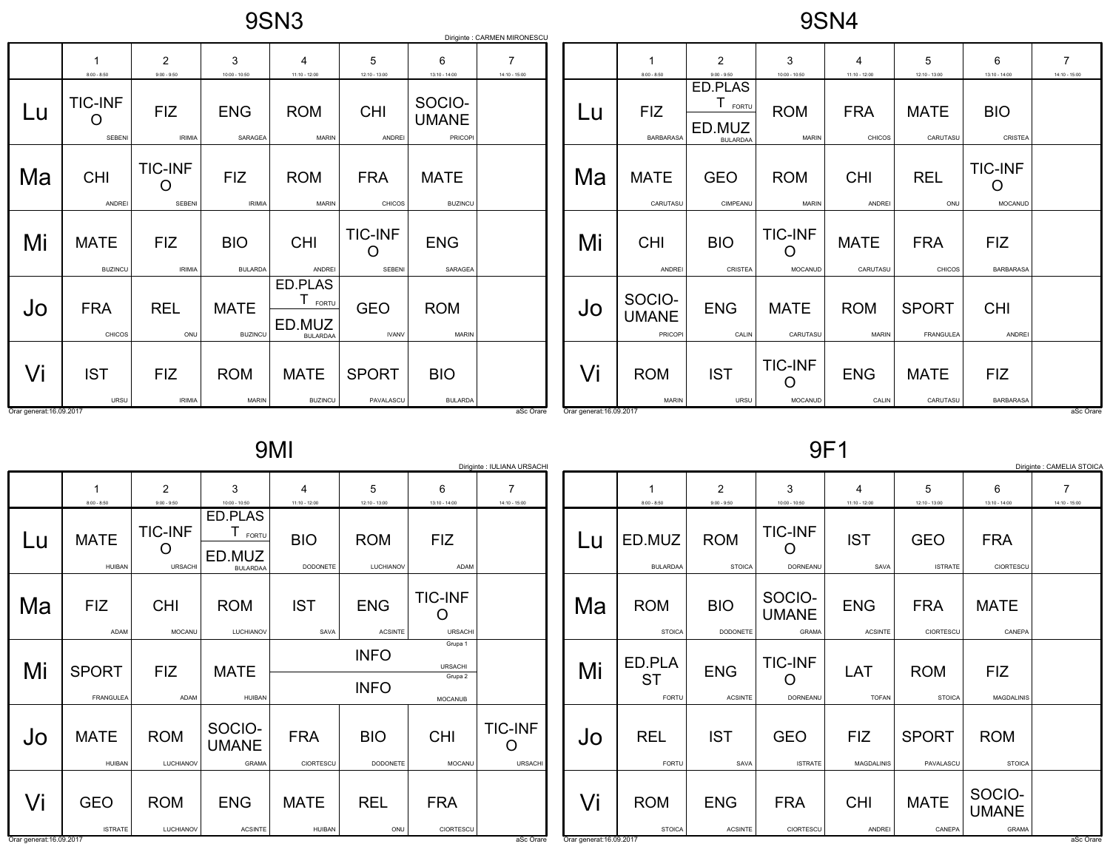9SN3

9SN4

|                                |                                 |                                 |                               |                                                    |                                        |                                          | Diriginte : CARMEN MIRONESCU |
|--------------------------------|---------------------------------|---------------------------------|-------------------------------|----------------------------------------------------|----------------------------------------|------------------------------------------|------------------------------|
|                                | 1<br>$8:00 - 8:50$              | 2<br>$9:00 - 9:50$              | 3<br>10:00 - 10:50            | 4<br>11:10 - 12:00                                 | 5<br>12:10 - 13:00                     | 6<br>13:10 - 14:00                       | 7<br>14:10 - 15:00           |
| Lu                             | <b>TIC-INF</b><br><b>SEBENI</b> | <b>FIZ</b><br><b>IRIMIA</b>     | <b>ENG</b><br>SARAGEA         | <b>ROM</b><br><b>MARIN</b>                         | <b>CHI</b><br><b>ANDREI</b>            | SOCIO-<br><b>UMANE</b><br><b>PRICOPI</b> |                              |
| Ma                             | <b>CHI</b><br><b>ANDREI</b>     | <b>TIC-INF</b><br><b>SEBENI</b> | <b>FIZ</b><br><b>IRIMIA</b>   | <b>ROM</b><br><b>MARIN</b>                         | <b>FRA</b><br><b>CHICOS</b>            | <b>MATE</b><br><b>BUZINCU</b>            |                              |
| Mi                             | <b>MATE</b><br><b>BUZINCU</b>   | <b>FIZ</b><br><b>IRIMIA</b>     | <b>BIO</b><br><b>BULARDA</b>  | <b>CHI</b><br><b>ANDREI</b>                        | <b>TIC-INF</b><br>( )<br><b>SEBENI</b> | <b>ENG</b><br>SARAGEA                    |                              |
| JO                             | <b>FRA</b><br>CHICOS            | <b>REL</b><br>ONU               | <b>MATE</b><br><b>BUZINCU</b> | ED.PLAS<br>т<br>FORTU<br>ED.MUZ<br><b>BULARDAA</b> | <b>GEO</b><br><b>IVANV</b>             | <b>ROM</b><br><b>MARIN</b>               |                              |
| Vi<br>Orar generat: 16.09.2017 | <b>IST</b><br>URSU              | <b>FIZ</b><br><b>IRIMIA</b>     | <b>ROM</b><br><b>MARIN</b>    | <b>MATE</b><br><b>BUZINCU</b>                      | <b>SPORT</b><br>PAVALASCU              | <b>BIO</b><br><b>BULARDA</b>             | aSc Orare                    |

|    | 1<br>$8:00 - 8:50$                | $\overline{2}$<br>$9:00 - 9:50$               | 3<br>10:00 - 10:50               | 4<br>$11:10 - 12:00$        | 5<br>12:10 - 13:00               | 6<br>13:10 - 14:00                    | 7<br>14:10 - 15:00 |
|----|-----------------------------------|-----------------------------------------------|----------------------------------|-----------------------------|----------------------------------|---------------------------------------|--------------------|
| Lu | <b>FIZ</b><br><b>BARBARASA</b>    | ED.PLAS<br>FORTU<br>ED.MUZ<br><b>BULARDAA</b> | <b>ROM</b><br><b>MARIN</b>       | <b>FRA</b><br><b>CHICOS</b> | <b>MATE</b><br>CARUTASU          | <b>BIO</b><br>CRISTEA                 |                    |
| Ma | <b>MATE</b><br>CARUTASU           | <b>GEO</b><br><b>CIMPEANU</b>                 | <b>ROM</b><br><b>MARIN</b>       | <b>CHI</b><br><b>ANDREI</b> | <b>REL</b><br>ONU                | <b>TIC-INF</b><br>0<br><b>MOCANUD</b> |                    |
| Mi | <b>CHI</b><br><b>ANDREI</b>       | <b>BIO</b><br>CRISTEA                         | <b>TIC-INF</b><br><b>MOCANUD</b> | <b>MATE</b><br>CARUTASU     | <b>FRA</b><br>CHICOS             | <b>FIZ</b><br><b>BARBARASA</b>        |                    |
| Jo | SOCIO-<br><b>UMANE</b><br>PRICOPI | <b>ENG</b><br>CALIN                           | <b>MATE</b><br>CARUTASU          | <b>ROM</b><br><b>MARIN</b>  | <b>SPORT</b><br><b>FRANGULEA</b> | <b>CHI</b><br>ANDREI                  |                    |
| Vi | <b>ROM</b><br><b>MARIN</b>        | <b>IST</b><br><b>URSU</b>                     | <b>TIC-INF</b><br><b>MOCANUD</b> | <b>ENG</b><br>CALIN         | <b>MATE</b><br>CARUTASU          | <b>FIZ</b><br><b>BARBARASA</b>        |                    |

9MI

|                                |                                  |                                       |                                                    |                               |                               |                                                        | Diriginte : IULIANA URSACHI      |
|--------------------------------|----------------------------------|---------------------------------------|----------------------------------------------------|-------------------------------|-------------------------------|--------------------------------------------------------|----------------------------------|
|                                | 1<br>$8:00 - 8:50$               | $\overline{2}$<br>$9:00 - 9:50$       | 3<br>$10:00 - 10:50$                               | 4<br>$11:10 - 12:00$          | 5<br>12:10 - 13:00            | 6<br>13:10 - 14:00                                     | 7<br>14:10 - 15:00               |
| Lu                             | <b>MATE</b><br><b>HUIBAN</b>     | <b>TIC-INF</b><br>∩<br><b>URSACHI</b> | ED.PLAS<br>Τ<br>FORTU<br>ED.MUZ<br><b>BULARDAA</b> | <b>BIO</b><br><b>DODONETE</b> | <b>ROM</b><br>LUCHIANOV       | <b>FIZ</b><br>ADAM                                     |                                  |
| Ma                             | <b>FIZ</b><br>ADAM               | <b>CHI</b><br><b>MOCANU</b>           | <b>ROM</b><br>LUCHIANOV                            | <b>IST</b><br>SAVA            | <b>ENG</b><br><b>ACSINTE</b>  | <b>TIC-INF</b><br><b>URSACHI</b>                       |                                  |
| Mi                             | <b>SPORT</b><br><b>FRANGULEA</b> | <b>FIZ</b><br>ADAM                    | <b>MATE</b><br><b>HUIBAN</b>                       |                               | <b>INFO</b><br><b>INFO</b>    | Grupa 1<br><b>URSACHI</b><br>Grupa 2<br><b>MOCANUB</b> |                                  |
| Jo                             | <b>MATE</b><br><b>HUIBAN</b>     | <b>ROM</b><br>LUCHIANOV               | SOCIO-<br><b>UMANE</b><br><b>GRAMA</b>             | <b>FRA</b><br>CIORTESCU       | <b>BIO</b><br><b>DODONETE</b> | <b>CHI</b><br><b>MOCANU</b>                            | <b>TIC-INF</b><br><b>URSACHI</b> |
| Vi<br>Orar generat: 16.09.2017 | <b>GEO</b><br><b>ISTRATE</b>     | <b>ROM</b><br>LUCHIANOV               | <b>ENG</b><br><b>ACSINTE</b>                       | <b>MATE</b><br><b>HUIBAN</b>  | <b>REL</b><br>ONU             | <b>FRA</b><br>CIORTESCU                                |                                  |

9F1

|                                |                                     |                               |                                        |                              |                              |                                        | Diriginte : CAMELIA STOICA      |
|--------------------------------|-------------------------------------|-------------------------------|----------------------------------------|------------------------------|------------------------------|----------------------------------------|---------------------------------|
|                                | 1<br>$8:00 - 8:50$                  | 2<br>$9:00 - 9:50$            | 3<br>$10:00 - 10:50$                   | 4<br>$11:10 - 12:00$         | 5<br>12:10 - 13:00           | 6<br>$13:10 - 14:00$                   | $\overline{7}$<br>14:10 - 15:00 |
| Lu                             | ED.MUZ<br><b>BULARDAA</b>           | <b>ROM</b><br><b>STOICA</b>   | <b>TIC-INF</b><br><b>DORNEANU</b>      | <b>IST</b><br>SAVA           | <b>GEO</b><br><b>ISTRATE</b> | <b>FRA</b><br>CIORTESCU                |                                 |
| Ma                             | <b>ROM</b><br><b>STOICA</b>         | <b>BIO</b><br><b>DODONETE</b> | SOCIO-<br><b>UMANE</b><br><b>GRAMA</b> | <b>ENG</b><br><b>ACSINTE</b> | <b>FRA</b><br>CIORTESCU      | <b>MATE</b><br>CANEPA                  |                                 |
| Mi                             | ED.PLA<br><b>ST</b><br><b>FORTU</b> | <b>ENG</b><br><b>ACSINTE</b>  | <b>TIC-INF</b><br><b>DORNEANU</b>      | LAT<br><b>TOFAN</b>          | <b>ROM</b><br><b>STOICA</b>  | FIZ.<br><b>MAGDALINIS</b>              |                                 |
| Jo                             | <b>REL</b><br><b>FORTU</b>          | <b>IST</b><br>SAVA            | <b>GEO</b><br><b>ISTRATE</b>           | FIZ.<br><b>MAGDALINIS</b>    | <b>SPORT</b><br>PAVALASCU    | <b>ROM</b><br><b>STOICA</b>            |                                 |
| Vi<br>Orar generat: 16.09.2017 | <b>ROM</b><br><b>STOICA</b>         | <b>ENG</b><br><b>ACSINTE</b>  | <b>FRA</b><br>CIORTESCU                | <b>CHI</b><br><b>ANDREI</b>  | <b>MATE</b><br>CANEPA        | SOCIO-<br><b>UMANE</b><br><b>GRAMA</b> | aSc Orare                       |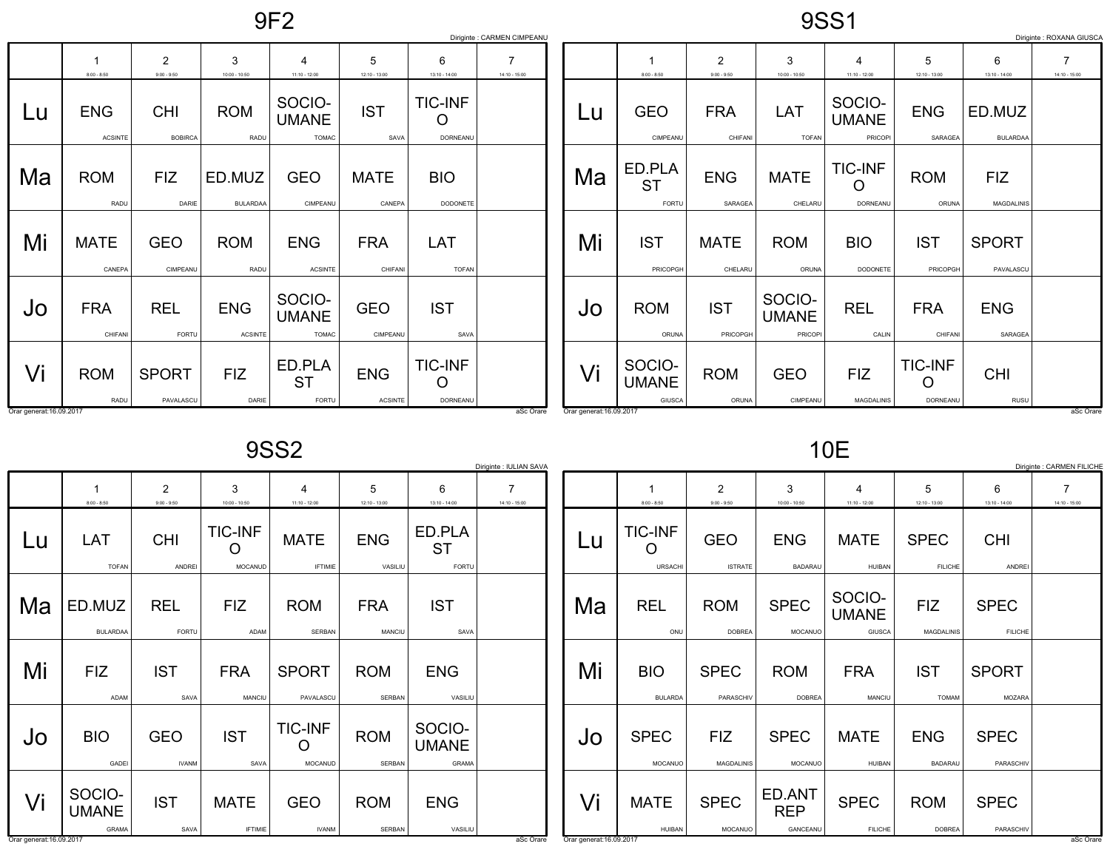9F2

9SS1

|                          |                              |                                 |                              |                                        |                              |                                 | Diriginte : CARMEN CIMPEANU       |                          |                                  |                                 |                                  |                                   |                                 |                           | Diriginte : ROXANA GIUSC/         |
|--------------------------|------------------------------|---------------------------------|------------------------------|----------------------------------------|------------------------------|---------------------------------|-----------------------------------|--------------------------|----------------------------------|---------------------------------|----------------------------------|-----------------------------------|---------------------------------|---------------------------|-----------------------------------|
|                          | $8:00 - 8:50$                | $\overline{2}$<br>$9:00 - 9:50$ | 3<br>$10:00 - 10:50$         | $\overline{4}$<br>$11:10 - 12:00$      | 5<br>$12:10 - 13:00$         | 6<br>$13:10 - 14:00$            | $\overline{7}$<br>$14:10 - 15:00$ |                          | $8:00 - 8:50$                    | $\overline{2}$<br>$9:00 - 9:50$ | 3<br>$10:00 - 10:50$             | 4<br>$11:10 - 12:00$              | 5<br>$12:10 - 13:00$            | 6<br>$13:10 - 14:00$      | $\overline{7}$<br>$14:10 - 15:00$ |
| Lu                       | <b>ENG</b><br><b>ACSINTE</b> | <b>CHI</b><br><b>BOBIRCA</b>    | <b>ROM</b><br>RADU           | SOCIO-<br><b>UMANE</b><br><b>TOMAC</b> | <b>IST</b><br>SAVA           | <b>TIC-INF</b><br>O<br>DORNEANU |                                   | Lu                       | <b>GEO</b><br>CIMPEANU           | <b>FRA</b><br>CHIFANI           | LAT<br><b>TOFAN</b>              | SOCIO-<br><b>UMANE</b><br>PRICOPI | <b>ENG</b><br>SARAGEA           | ED.MUZ<br><b>BULARDAA</b> |                                   |
| Ma                       | <b>ROM</b><br>RADU           | FIZ<br>DARIE                    | ED.MUZ<br><b>BULARDAA</b>    | <b>GEO</b><br>CIMPEANU                 | <b>MATE</b><br>CANEPA        | <b>BIO</b><br>DODONETE          |                                   | Ma                       | ED.PLA<br><b>ST</b><br>FORTU     | <b>ENG</b><br>SARAGEA           | <b>MATE</b><br>CHELARU           | <b>TIC-INF</b><br>O<br>DORNEANU   | <b>ROM</b><br>ORUNA             | <b>FIZ</b><br>MAGDALINIS  |                                   |
| Mi                       | <b>MATE</b><br>CANEPA        | GEO<br>CIMPEANU                 | <b>ROM</b><br>RADU           | <b>ENG</b><br><b>ACSINTE</b>           | <b>FRA</b><br>CHIFANI        | LAT<br><b>TOFAN</b>             |                                   | Mi                       | <b>IST</b><br>PRICOPGH           | <b>MATE</b><br>CHELARU          | <b>ROM</b><br>ORUNA              | <b>BIO</b><br>DODONETE            | <b>IST</b><br>PRICOPGH          | <b>SPORT</b><br>PAVALASCU |                                   |
| Jo                       | <b>FRA</b><br>CHIFANI        | <b>REL</b><br>FORTU             | <b>ENG</b><br><b>ACSINTE</b> | SOCIO-<br><b>UMANE</b><br><b>TOMAC</b> | <b>GEO</b><br>CIMPEANU       | <b>IST</b><br>SAVA              |                                   | JO                       | <b>ROM</b><br>ORUNA              | <b>IST</b><br>PRICOPGH          | SOCIO-<br><b>UMANE</b><br>PRICOP | <b>REL</b><br>CALIN               | <b>FRA</b><br>CHIFAN            | <b>ENG</b><br>SARAGEA     |                                   |
| Vi                       | <b>ROM</b><br>RADU           | <b>SPORT</b><br>PAVALASCU       | <b>FIZ</b><br>DARIE          | ED.PLA<br><b>ST</b><br>FORTU           | <b>ENG</b><br><b>ACSINTE</b> | <b>TIC-INF</b><br>O<br>DORNEANU |                                   | Vi                       | SOCIO-<br><b>UMANE</b><br>GIUSCA | <b>ROM</b><br>ORUNA             | <b>GEO</b><br>CIMPEANU           | <b>FIZ</b><br><b>MAGDALINIS</b>   | <b>TIC-INF</b><br>O<br>DORNEANU | <b>CHI</b><br>RUSU        |                                   |
| Orar generat: 16.09.2017 |                              |                                 |                              |                                        |                              |                                 | aSc Orare                         | Orar generat: 16.09.2017 |                                  |                                 |                                  |                                   |                                 |                           | aSc Orare                         |

Orar generat:16.09.2017

9SS2

|    |                                        |                             |                                  |                                       |                             |                                        | Diriginte : IULIAN SAVA |
|----|----------------------------------------|-----------------------------|----------------------------------|---------------------------------------|-----------------------------|----------------------------------------|-------------------------|
|    | 1<br>$8:00 - 8:50$                     | 2<br>$9:00 - 9:50$          | 3<br>10:00 - 10:50               | 4<br>$11:10 - 12:00$                  | 5<br>12:10 - 13:00          | 6<br>13:10 - 14:00                     | 7<br>14:10 - 15:00      |
| Lu | LAT<br><b>TOFAN</b>                    | <b>CHI</b><br><b>ANDREI</b> | <b>TIC-INF</b><br><b>MOCANUD</b> | <b>MATE</b><br><b>IFTIMIE</b>         | <b>ENG</b><br>VASILIU       | ED.PLA<br>ST<br><b>FORTU</b>           |                         |
| Ma | ED.MUZ<br><b>BULARDAA</b>              | <b>REL</b><br><b>FORTU</b>  | <b>FIZ</b><br>ADAM               | <b>ROM</b><br><b>SERBAN</b>           | <b>FRA</b><br><b>MANCIU</b> | <b>IST</b><br>SAVA                     |                         |
| Mi | <b>FIZ</b><br><b>ADAM</b>              | <b>IST</b><br>SAVA          | <b>FRA</b><br>MANCIU             | <b>SPORT</b><br>PAVALASCU             | <b>ROM</b><br><b>SERBAN</b> | <b>ENG</b><br>VASILIU                  |                         |
| Jo | <b>BIO</b><br>GADEI                    | <b>GEO</b><br><b>IVANM</b>  | <b>IST</b><br>SAVA               | <b>TIC-INF</b><br>O<br><b>MOCANUD</b> | <b>ROM</b><br><b>SERBAN</b> | SOCIO-<br><b>UMANE</b><br><b>GRAMA</b> |                         |
| Vi | SOCIO-<br><b>UMANE</b><br><b>GRAMA</b> | <b>IST</b><br>SAVA          | <b>MATE</b><br><b>IFTIMIE</b>    | <b>GEO</b><br><b>IVANM</b>            | <b>ROM</b><br><b>SERBAN</b> | <b>ENG</b><br>VASILIU                  |                         |

10E

|    |                                  |                                 |                                  |                                         |                                 |                               | Diriginte : CARMEN FILICHE |
|----|----------------------------------|---------------------------------|----------------------------------|-----------------------------------------|---------------------------------|-------------------------------|----------------------------|
|    | 1<br>$8:00 - 8:50$               | $\overline{2}$<br>$9:00 - 9:50$ | 3<br>$10:00 - 10:50$             | 4<br>$11:10 - 12:00$                    | 5<br>12:10 - 13:00              | 6<br>$13:10 - 14:00$          | 7<br>14:10 - 15:00         |
| Lu | <b>TIC-INF</b><br><b>URSACHI</b> | <b>GEO</b><br><b>ISTRATE</b>    | <b>ENG</b><br><b>BADARAU</b>     | <b>MATE</b><br><b>HUIBAN</b>            | <b>SPEC</b><br><b>FILICHE</b>   | <b>CHI</b><br>ANDREI          |                            |
| Ma | <b>REL</b><br>ONU                | <b>ROM</b><br><b>DOBREA</b>     | <b>SPEC</b><br><b>MOCANUO</b>    | SOCIO-<br><b>UMANE</b><br><b>GIUSCA</b> | <b>FIZ</b><br><b>MAGDALINIS</b> | <b>SPEC</b><br><b>FILICHE</b> |                            |
| Mi | <b>BIO</b><br><b>BULARDA</b>     | <b>SPEC</b><br>PARASCHIV        | <b>ROM</b><br><b>DOBREA</b>      | <b>FRA</b><br><b>MANCIU</b>             | <b>IST</b><br><b>TOMAM</b>      | <b>SPORT</b><br><b>MOZARA</b> |                            |
| Jo | <b>SPEC</b><br><b>MOCANUO</b>    | <b>FIZ</b><br><b>MAGDALINIS</b> | <b>SPEC</b><br><b>MOCANUO</b>    | <b>MATE</b><br><b>HUIBAN</b>            | <b>ENG</b><br><b>BADARAU</b>    | <b>SPEC</b><br>PARASCHIV      |                            |
| Vi | <b>MATE</b><br><b>HUIBAN</b>     | <b>SPEC</b><br><b>MOCANUO</b>   | ED.ANT<br><b>REP</b><br>GANCEANU | <b>SPEC</b><br><b>FILICHE</b>           | <b>ROM</b><br><b>DOBREA</b>     | <b>SPEC</b><br>PARASCHIV      |                            |

Orar generat:16.09.2017

and the contract of the contract of the contract of the contract of the contract of the contract of the contract of the contract of the contract of the contract of the contract of the contract of the contract of the contra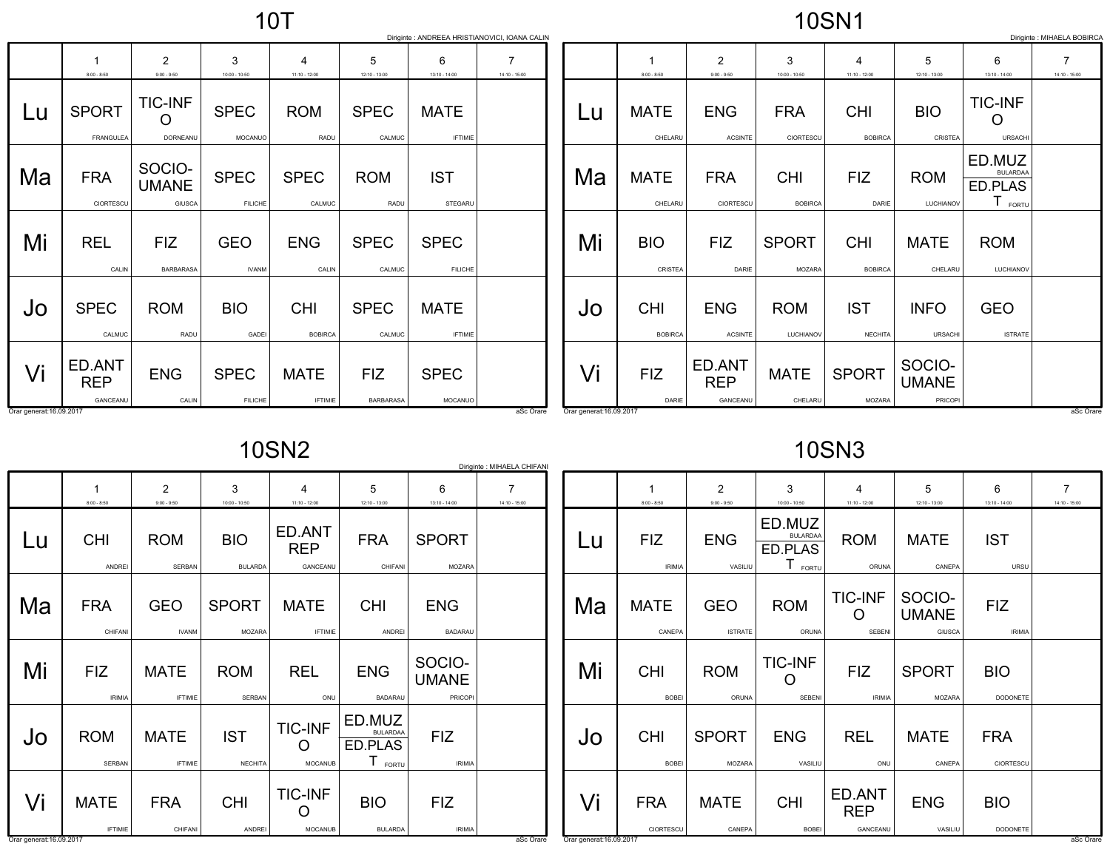## 10SN1

|                          | Diriginte : ANDREEA HRISTIANOVICI, IOANA CALIN<br>Diriginte : MIHAELA BOBIRCA |                                  |                               |                               |                                |                               |                                   |                          |                              |                                  |                                |                                   |                                   |                                                   |                                   |
|--------------------------|-------------------------------------------------------------------------------|----------------------------------|-------------------------------|-------------------------------|--------------------------------|-------------------------------|-----------------------------------|--------------------------|------------------------------|----------------------------------|--------------------------------|-----------------------------------|-----------------------------------|---------------------------------------------------|-----------------------------------|
|                          | $8:00 - 8:50$                                                                 | $\overline{2}$<br>$9:00 - 9:50$  | 3<br>$10:00 - 10:50$          | $11:10 - 12:00$               | 5<br>$12:10 - 13:00$           | 6<br>$13:10 - 14:00$          | $\overline{7}$<br>$14:10 - 15:00$ |                          | $8:00 - 8:50$                | $\overline{2}$<br>$9:00 - 9:50$  | 3<br>$10:00 - 10:50$           | $\overline{4}$<br>$11:10 - 12:00$ | 5<br>$12:10 - 13:00$              | 6<br>$13:10 - 14:00$                              | $\overline{7}$<br>$14:10 - 15:00$ |
| Lu                       | <b>SPORT</b><br>FRANGULEA                                                     | <b>TIC-INF</b><br>O<br>DORNEANU  | <b>SPEC</b><br>MOCANUO        | <b>ROM</b><br>RADU            | <b>SPEC</b><br>CALMUC          | <b>MATE</b><br><b>IFTIMIE</b> |                                   | Lu                       | <b>MATE</b><br>CHELARU       | <b>ENG</b><br><b>ACSINTE</b>     | <b>FRA</b><br>CIORTESCU        | <b>CHI</b><br><b>BOBIRCA</b>      | <b>BIO</b><br>CRISTEA             | <b>TIC-INF</b><br>O<br><b>URSACHI</b>             |                                   |
| Ma                       | <b>FRA</b><br>CIORTESCU                                                       | SOCIO-<br><b>UMANE</b><br>GIUSCA | <b>SPEC</b><br><b>FILICHE</b> | <b>SPEC</b><br>CALMUC         | <b>ROM</b><br>RADU             | <b>IST</b><br>STEGARU         |                                   | Ma                       | <b>MATE</b><br>CHELARU       | <b>FRA</b><br>CIORTESCU          | <b>CHI</b><br><b>BOBIRCA</b>   | <b>FIZ</b><br>DARIE               | <b>ROM</b><br>LUCHIANOV           | ED.MUZ<br><b>BULARDAA</b><br>ED.PLAS<br>$I$ FORTU |                                   |
| Mi                       | <b>REL</b><br>CALIN                                                           | <b>FIZ</b><br><b>BARBARASA</b>   | <b>GEO</b><br><b>IVANM</b>    | <b>ENG</b><br>CALIN           | <b>SPEC</b><br>CALMUC          | <b>SPEC</b><br><b>FILICHE</b> |                                   | Mi                       | <b>BIO</b><br>CRISTEA        | <b>FIZ</b><br>DARIE              | <b>SPORT</b><br>MOZARA         | <b>CHI</b><br><b>BOBIRCA</b>      | <b>MATE</b><br>CHELARU            | <b>ROM</b><br>LUCHIANOV                           |                                   |
| Jo                       | <b>SPEC</b><br>CALMUC                                                         | <b>ROM</b><br>RADU               | <b>BIO</b><br>GADEI           | <b>CHI</b><br><b>BOBIRCA</b>  | <b>SPEC</b><br>CALMUC          | <b>MATE</b><br><b>IFTIMIE</b> |                                   | JO                       | <b>CHI</b><br><b>BOBIRCA</b> | <b>ENG</b><br><b>ACSINTE</b>     | <b>ROM</b><br><b>LUCHIANOV</b> | <b>IST</b><br><b>NECHITA</b>      | <b>INFO</b><br>URSACHI            | <b>GEO</b><br><b>ISTRATE</b>                      |                                   |
| Vi                       | ED.ANT<br><b>REP</b><br>GANCEANU                                              | <b>ENG</b><br>CALIN              | <b>SPEC</b><br><b>FILICHE</b> | <b>MATE</b><br><b>IFTIMIE</b> | <b>FIZ</b><br><b>BARBARASA</b> | <b>SPEC</b><br>MOCANUO        |                                   | Vi                       | <b>FIZ</b><br>DARIE          | ED.ANT<br><b>REP</b><br>GANCEANU | <b>MATE</b><br>CHELARU         | <b>SPORT</b><br><b>MOZARA</b>     | SOCIO-<br><b>UMANE</b><br>PRICOPI |                                                   |                                   |
| Orar generat: 16.09.2017 |                                                                               |                                  |                               |                               |                                |                               | aSc Orare                         | Orar generat: 16.09.2017 |                              |                                  |                                |                                   |                                   |                                                   | aSc Orare                         |

10SN2

| Diriginte : MIHAELA CHIFANI                |                               |                               |                                         |                                               |                                          |                      |  |  |  |  |  |
|--------------------------------------------|-------------------------------|-------------------------------|-----------------------------------------|-----------------------------------------------|------------------------------------------|----------------------|--|--|--|--|--|
| 1<br>$8:00 - 8:50$                         | 2<br>$9:00 - 9:50$            | 3<br>$10:00 - 10:50$          | 4<br>$11:10 - 12:00$                    | 5<br>12:10 - 13:00                            | 6<br>13:10 - 14:00                       | 7<br>$14:10 - 15:00$ |  |  |  |  |  |
| <b>CHI</b>                                 | <b>ROM</b>                    | <b>BIO</b>                    | ED.ANT<br><b>REP</b>                    | <b>FRA</b>                                    | <b>SPORT</b>                             |                      |  |  |  |  |  |
|                                            |                               |                               |                                         |                                               |                                          |                      |  |  |  |  |  |
| <b>FRA</b><br>CHIFANI                      | <b>GEO</b><br><b>IVANM</b>    | <b>SPORT</b><br><b>MOZARA</b> | <b>MATE</b><br><b>IFTIMIE</b>           | <b>CHI</b><br><b>ANDREI</b>                   | <b>ENG</b><br><b>BADARAU</b>             |                      |  |  |  |  |  |
| <b>FIZ</b><br><b>IRIMIA</b>                | <b>MATE</b><br><b>IFTIMIE</b> | <b>ROM</b><br><b>SERBAN</b>   | <b>REL</b><br>ONU                       | <b>ENG</b><br><b>BADARAU</b>                  | SOCIO-<br><b>UMANE</b><br><b>PRICOPI</b> |                      |  |  |  |  |  |
| <b>ROM</b><br><b>SERBAN</b>                | <b>MATE</b><br><b>IFTIMIE</b> | <b>IST</b><br><b>NECHITA</b>  | <b>TIC-INF</b><br>( )<br><b>MOCANUB</b> | ED.MUZ<br><b>BULARDAA</b><br>ED.PLAS<br>FORTU | FIZ<br><b>IRIMIA</b>                     |                      |  |  |  |  |  |
| <b>MATE</b>                                | <b>FRA</b>                    | <b>CHI</b>                    | <b>TIC-INF</b>                          | <b>BIO</b>                                    | <b>FIZ</b>                               |                      |  |  |  |  |  |
| <b>IFTIMIE</b><br>Orar generat: 16.09.2017 | CHIFANI                       | <b>ANDREI</b>                 | <b>MOCANUB</b>                          | <b>BULARDA</b>                                | <b>IRIMIA</b>                            | aSc Orare            |  |  |  |  |  |
|                                            | <b>ANDREI</b>                 | <b>SERBAN</b>                 | <b>BULARDA</b>                          | GANCEANU                                      | CHIFANI                                  | <b>MOZARA</b>        |  |  |  |  |  |

10SN3

|                                | 1<br>$8:00 - 8:50$          | 2<br>$9:00 - 9:50$            | 3<br>$10:00 - 10:50$                                       | 4<br>$11:10 - 12:00$             | 5<br>$12:10 - 13:00$                    | 6<br>$13:10 - 14:00$        | 7<br>14:10 - 15:00 |
|--------------------------------|-----------------------------|-------------------------------|------------------------------------------------------------|----------------------------------|-----------------------------------------|-----------------------------|--------------------|
| Lu                             | <b>FIZ</b><br><b>IRIMIA</b> | <b>ENG</b><br>VASILIU         | ED.MUZ<br><b>BULARDAA</b><br>ED.PLAS<br>$T_{\text{foriv}}$ | <b>ROM</b><br>ORUNA              | <b>MATE</b><br>CANEPA                   | <b>IST</b><br><b>URSU</b>   |                    |
| Ma                             | <b>MATE</b><br>CANEPA       | <b>GEO</b><br><b>ISTRATE</b>  | <b>ROM</b><br>ORUNA                                        | <b>TIC-INF</b><br><b>SEBENI</b>  | SOCIO-<br><b>UMANE</b><br><b>GIUSCA</b> | <b>FIZ</b><br><b>IRIMIA</b> |                    |
| Mi                             | <b>CHI</b><br><b>BOBEI</b>  | <b>ROM</b><br>ORUNA           | <b>TIC-INF</b><br><b>SEBENI</b>                            | <b>FIZ</b><br><b>IRIMIA</b>      | <b>SPORT</b><br><b>MOZARA</b>           | <b>BIO</b><br>DODONETE      |                    |
| Jo                             | <b>CHI</b><br><b>BOBEI</b>  | <b>SPORT</b><br><b>MOZARA</b> | <b>ENG</b><br>VASILIU                                      | <b>REL</b><br>ONU                | <b>MATE</b><br>CANEPA                   | <b>FRA</b><br>CIORTESCU     |                    |
| Vi<br>Orar generat: 16.09.2017 | <b>FRA</b><br>CIORTESCU     | <b>MATE</b><br>CANEPA         | <b>CHI</b><br><b>BOBEI</b>                                 | ED.ANT<br><b>REP</b><br>GANCEANU | <b>ENG</b><br>VASILIU                   | <b>BIO</b><br>DODONETE      | aSc Orare          |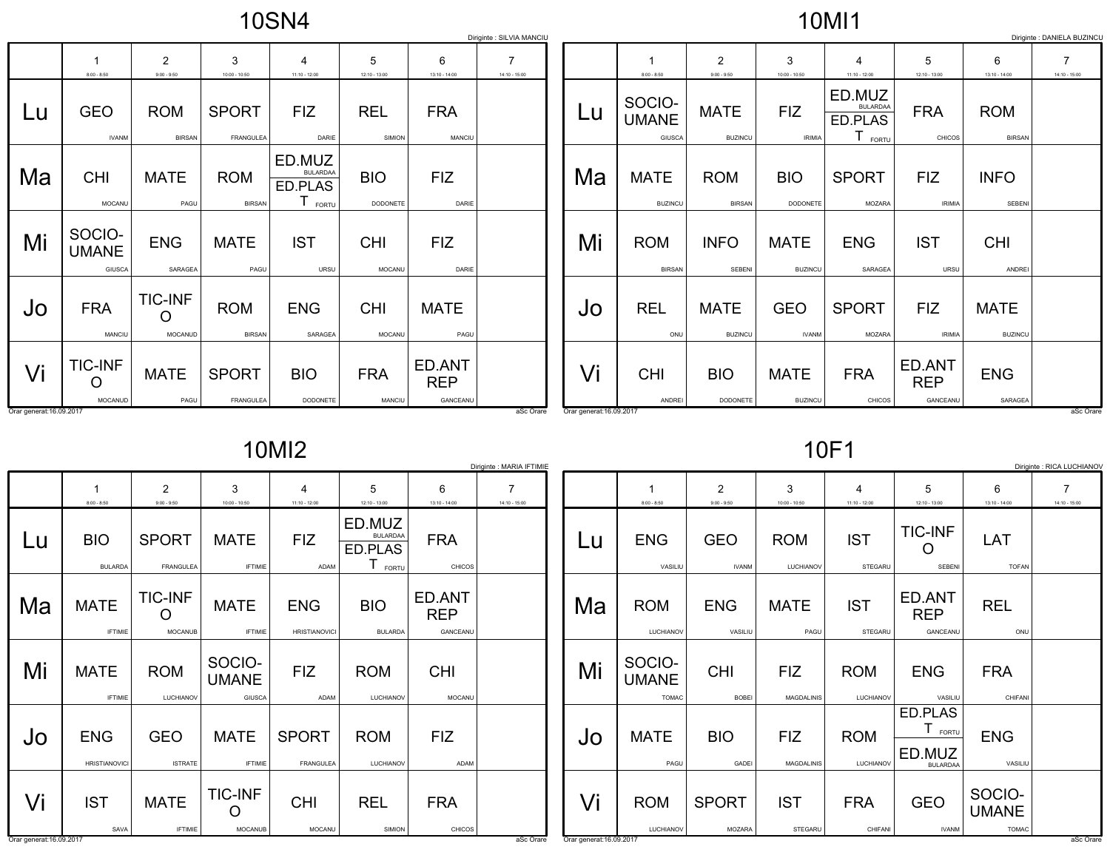10SN4

## 10MI1

|                          |                                       |                                |                                  |                                                            |                        |                                  | Diriginte : SILVIA MANCIU |                          |                                  |                               |                               |                                                            |                                  |                               | Diriginte : DANIELA BUZINCL |
|--------------------------|---------------------------------------|--------------------------------|----------------------------------|------------------------------------------------------------|------------------------|----------------------------------|---------------------------|--------------------------|----------------------------------|-------------------------------|-------------------------------|------------------------------------------------------------|----------------------------------|-------------------------------|-----------------------------|
|                          |                                       | $\overline{2}$                 | 3                                | 4                                                          | 5                      | 6                                | 7                         |                          |                                  | $\overline{2}$                | 3                             | 4                                                          |                                  | 6                             | $\overline{7}$              |
|                          | $8:00 - 8:50$                         | $9:00 - 9:50$                  | $10:00 - 10:50$                  | $11:10 - 12:00$                                            | $12:10 - 13:00$        | $13:10 - 14:00$                  | $14:10 - 15:00$           |                          | $8:00 - 8:50$                    | $9:00 - 9:50$                 | $10:00 - 10:50$               | $11:10 - 12:00$                                            | $12:10 - 13:00$                  | $13:10 - 14:00$               | $14:10 - 15:00$             |
| Lu                       | <b>GEO</b><br><b>IVANM</b>            | <b>ROM</b><br><b>BIRSAN</b>    | <b>SPORT</b><br><b>FRANGULEA</b> | <b>FIZ</b><br>DARIE                                        | <b>REL</b><br>SIMION   | <b>FRA</b><br>MANCIU             |                           | Lu                       | SOCIO-<br><b>UMANE</b><br>GIUSCA | <b>MATE</b><br><b>BUZINCU</b> | <b>FIZ</b><br><b>IRIMIA</b>   | ED.MUZ<br><b>BULARDAA</b><br>ED.PLAS<br>$T_{\text{foriv}}$ | <b>FRA</b><br>CHICOS             | <b>ROM</b><br><b>BIRSAN</b>   |                             |
| Ma                       | <b>CHI</b><br>MOCANU                  | <b>MATE</b><br>PAGU            | <b>ROM</b><br><b>BIRSAN</b>      | ED.MUZ<br><b>BULARDAA</b><br>ED.PLAS<br>$T_{\text{FORTU}}$ | <b>BIO</b><br>DODONETE | <b>FIZ</b><br>DARIE              |                           | Ma                       | <b>MATE</b><br><b>BUZINCU</b>    | <b>ROM</b><br><b>BIRSAN</b>   | <b>BIO</b><br><b>DODONETE</b> | <b>SPORT</b><br><b>MOZARA</b>                              | <b>FIZ</b><br><b>IRIMIA</b>      | <b>INFO</b><br>SEBENI         |                             |
| Mi                       | SOCIO-<br><b>UMANE</b><br>GIUSCA      | <b>ENG</b><br>SARAGEA          | <b>MATE</b><br>PAGU              | <b>IST</b><br>URSU                                         | <b>CHI</b><br>MOCANU   | <b>FIZ</b><br>DARIE              |                           | Mi                       | <b>ROM</b><br><b>BIRSAN</b>      | <b>INFO</b><br>SEBENI         | <b>MATE</b><br><b>BUZINCU</b> | <b>ENG</b><br>SARAGEA                                      | <b>IST</b><br>URSU               | <b>CHI</b><br>ANDREI          |                             |
| Jo                       | <b>FRA</b><br>MANCIU                  | <b>TIC-INF</b><br>O<br>MOCANUD | <b>ROM</b><br><b>BIRSAN</b>      | <b>ENG</b><br>SARAGEA                                      | <b>CHI</b><br>MOCANU   | <b>MATE</b><br>PAGU              |                           | Jo                       | <b>REL</b><br>ONU                | <b>MATE</b><br><b>BUZINCU</b> | <b>GEO</b><br><b>IVANM</b>    | <b>SPORT</b><br><b>MOZARA</b>                              | <b>FIZ</b><br><b>IRIMIA</b>      | <b>MATE</b><br><b>BUZINCU</b> |                             |
| Vi                       | <b>TIC-INF</b><br>$\Omega$<br>MOCANUD | <b>MATE</b><br>PAGU            | <b>SPORT</b><br><b>FRANGULEA</b> | <b>BIO</b><br>DODONETE                                     | <b>FRA</b><br>MANCIU   | ED.ANT<br><b>REP</b><br>GANCEANU |                           | Vi                       | <b>CHI</b><br>ANDREI             | <b>BIO</b><br>DODONETE        | <b>MATE</b><br><b>BUZINCU</b> | <b>FRA</b><br><b>CHICOS</b>                                | ED.ANT<br><b>REP</b><br>GANCEANU | <b>ENG</b><br>SARAGEA         |                             |
| Orar generat: 16.09.2017 |                                       |                                |                                  |                                                            |                        |                                  | aSc Orare                 | Orar generat: 16.09.2017 |                                  |                               |                               |                                                            |                                  |                               | aSc Orare                   |

10MI2

|    |                                    |                                  |                                         |                                    |                                               |                                  | Diriginte : MARIA IFTIMIE         |
|----|------------------------------------|----------------------------------|-----------------------------------------|------------------------------------|-----------------------------------------------|----------------------------------|-----------------------------------|
|    | 1<br>$8:00 - 8:50$                 | $\overline{2}$<br>$9:00 - 9:50$  | 3<br>$10:00 - 10:50$                    | 4<br>$11:10 - 12:00$               | 5<br>$12:10 - 13:00$                          | 6<br>13:10 - 14:00               | $\overline{7}$<br>$14:10 - 15:00$ |
| Lu | <b>BIO</b><br><b>BULARDA</b>       | <b>SPORT</b><br><b>FRANGULEA</b> | <b>MATE</b><br><b>IFTIMIE</b>           | <b>FIZ</b><br>ADAM                 | ED.MUZ<br><b>BULARDAA</b><br>ED.PLAS<br>FORTU | <b>FRA</b><br><b>CHICOS</b>      |                                   |
| Ma | <b>MATE</b><br><b>IFTIMIE</b>      | <b>TIC-INF</b><br><b>MOCANUB</b> | <b>MATE</b><br><b>IFTIMIE</b>           | <b>ENG</b><br><b>HRISTIANOVICI</b> | <b>BIO</b><br><b>BULARDA</b>                  | ED.ANT<br><b>REP</b><br>GANCEANU |                                   |
| Mi | <b>MATE</b><br><b>IFTIMIE</b>      | <b>ROM</b><br>LUCHIANOV          | SOCIO-<br><b>UMANE</b><br><b>GIUSCA</b> | <b>FIZ</b><br>ADAM                 | <b>ROM</b><br>LUCHIANOV                       | <b>CHI</b><br><b>MOCANU</b>      |                                   |
| Jo | <b>ENG</b><br><b>HRISTIANOVICI</b> | <b>GEO</b><br><b>ISTRATE</b>     | <b>MATE</b><br><b>IFTIMIE</b>           | <b>SPORT</b><br><b>FRANGULEA</b>   | <b>ROM</b><br>LUCHIANOV                       | <b>FIZ</b><br><b>ADAM</b>        |                                   |
| Vi | <b>IST</b><br>SAVA                 | <b>MATE</b><br><b>IFTIMIE</b>    | <b>TIC-INF</b><br><b>MOCANUB</b>        | <b>CHI</b><br>MOCANU               | <b>REL</b><br>SIMION                          | <b>FRA</b><br><b>CHICOS</b>      |                                   |

10F1

|    |                                        |                                 |                                 |                         |                                                              |                                        | Diriginte : RICA LUCHIANOV |
|----|----------------------------------------|---------------------------------|---------------------------------|-------------------------|--------------------------------------------------------------|----------------------------------------|----------------------------|
|    | 1<br>$8:00 - 8:50$                     | $\overline{2}$<br>$9:00 - 9:50$ | 3<br>$10:00 - 10:50$            | 4<br>$11:10 - 12:00$    | 5<br>12:10 - 13:00                                           | 6<br>13:10 - 14:00                     | 7<br>14:10 - 15:00         |
| Lu | <b>ENG</b><br>VASILIU                  | <b>GEO</b><br><b>IVANM</b>      | <b>ROM</b><br>LUCHIANOV         | <b>IST</b><br>STEGARU   | <b>TIC-INF</b><br>SEBENI                                     | LAT<br><b>TOFAN</b>                    |                            |
| Ma | <b>ROM</b><br>LUCHIANOV                | <b>ENG</b><br>VASILIU           | <b>MATE</b><br>PAGU             | <b>IST</b><br>STEGARU   | ED.ANT<br><b>REP</b><br>GANCEANU                             | <b>REL</b><br>ONU                      |                            |
| Mi | SOCIO-<br><b>UMANE</b><br><b>TOMAC</b> | <b>CHI</b><br><b>BOBEI</b>      | <b>FIZ</b><br><b>MAGDALINIS</b> | <b>ROM</b><br>LUCHIANOV | <b>ENG</b><br>VASILIU                                        | <b>FRA</b><br>CHIFANI                  |                            |
| Jo | <b>MATE</b><br>PAGU                    | <b>BIO</b><br>GADEI             | <b>FIZ</b><br>MAGDALINIS        | <b>ROM</b><br>LUCHIANOV | ED.PLAS<br>$\mathsf T$<br>FORTU<br>ED.MUZ<br><b>BULARDAA</b> | <b>ENG</b><br>VASILIU                  |                            |
| Vi | <b>ROM</b><br>LUCHIANOV                | <b>SPORT</b><br>MOZARA          | <b>IST</b><br>STEGARU           | <b>FRA</b><br>CHIFANI   | <b>GEO</b><br><b>IVANM</b>                                   | SOCIO-<br><b>UMANE</b><br><b>TOMAC</b> |                            |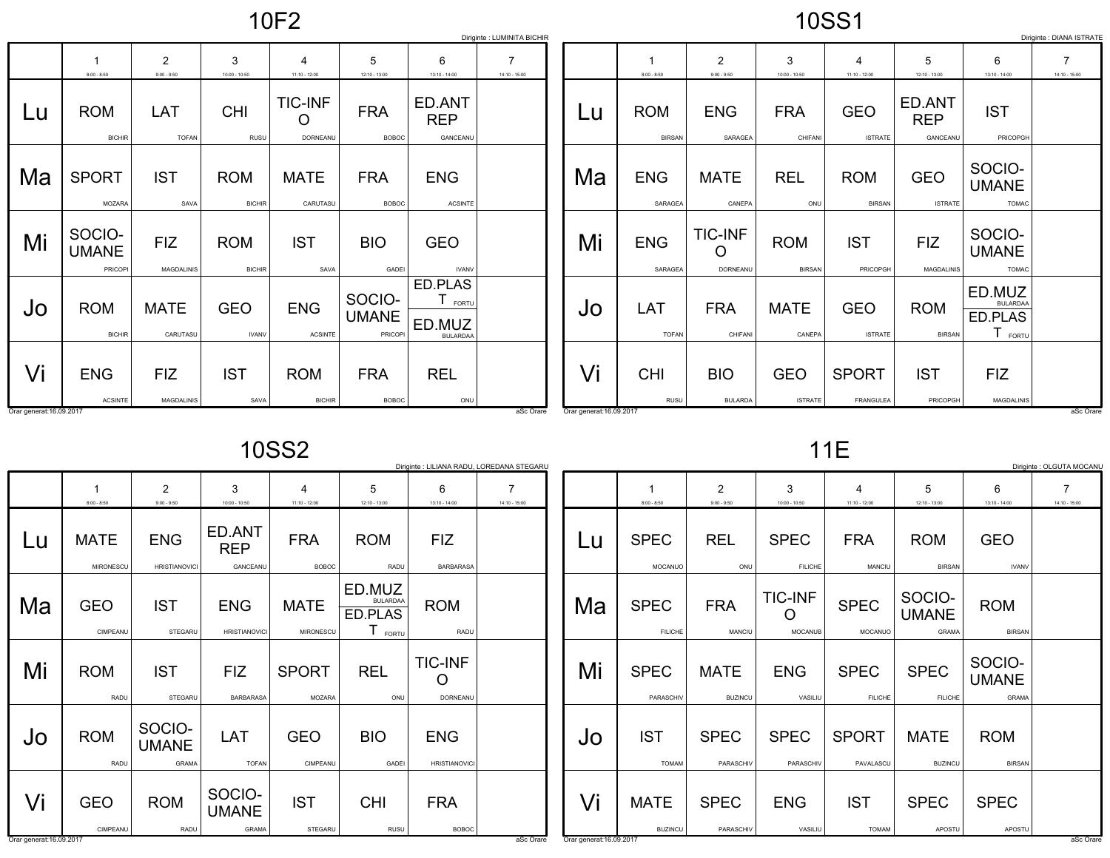10F2

## 10SS1

|                          | Diriginte : LUMINITA BICHIR<br>Diriginte : DIANA ISTRATE |                                 |                             |                                 |                                  |                                               |                                   |  |                          |                             |                                 |                             |                              |                                  |                                                            |                                   |
|--------------------------|----------------------------------------------------------|---------------------------------|-----------------------------|---------------------------------|----------------------------------|-----------------------------------------------|-----------------------------------|--|--------------------------|-----------------------------|---------------------------------|-----------------------------|------------------------------|----------------------------------|------------------------------------------------------------|-----------------------------------|
|                          | $8:00 - 8:50$                                            | $\overline{2}$<br>$9:00 - 9:50$ | 3<br>$10:00 - 10:50$        | 4<br>$11:10 - 12:00$            | 5<br>$12:10 - 13:00$             | 6<br>$13:10 - 14:00$                          | $\overline{7}$<br>$14:10 - 15:00$ |  |                          | $8:00 - 8:50$               | $\overline{2}$<br>$9:00 - 9:50$ | 3<br>$10:00 - 10:50$        | 4<br>$11:10 - 12:00$         | 5<br>12:10 - 13:00               | 6<br>$13:10 - 14:00$                                       | $\overline{7}$<br>$14:10 - 15:00$ |
| Lu                       | <b>ROM</b><br><b>BICHIR</b>                              | LAT<br><b>TOFAN</b>             | <b>CHI</b><br>RUSU          | <b>TIC-INF</b><br>O<br>DORNEANU | <b>FRA</b><br><b>BOBOC</b>       | ED.ANT<br><b>REP</b><br>GANCEANU              |                                   |  | Lu                       | <b>ROM</b><br><b>BIRSAN</b> | <b>ENG</b><br>SARAGEA           | <b>FRA</b><br>CHIFANI       | <b>GEO</b><br><b>ISTRATE</b> | ED.ANT<br><b>REP</b><br>GANCEANU | <b>IST</b><br>PRICOPGH                                     |                                   |
| Ma                       | <b>SPORT</b><br>MOZARA                                   | <b>IST</b><br>SAVA              | <b>ROM</b><br><b>BICHIR</b> | <b>MATE</b><br>CARUTASU         | <b>FRA</b><br><b>BOBOC</b>       | <b>ENG</b><br><b>ACSINTE</b>                  |                                   |  | Ma                       | <b>ENG</b><br>SARAGEA       | <b>MATE</b><br>CANEPA           | <b>REL</b><br>ONU           | <b>ROM</b><br><b>BIRSAN</b>  | <b>GEO</b><br><b>ISTRATE</b>     | SOCIO-<br><b>UMANE</b><br><b>TOMAC</b>                     |                                   |
| Mi                       | SOCIO-<br><b>UMANE</b><br>PRICOPI                        | <b>FIZ</b><br><b>MAGDALINIS</b> | <b>ROM</b><br><b>BICHIR</b> | <b>IST</b><br>SAVA              | <b>BIO</b><br>GADEI              | <b>GEO</b><br><b>IVANV</b>                    |                                   |  | Mi                       | <b>ENG</b><br>SARAGEA       | <b>TIC-INF</b><br>O<br>DORNEANU | <b>ROM</b><br><b>BIRSAN</b> | <b>IST</b><br>PRICOPGH       | <b>FIZ</b><br><b>MAGDALINIS</b>  | SOCIO-<br><b>UMANE</b><br><b>TOMAC</b>                     |                                   |
| Jo                       | <b>ROM</b><br><b>BICHIR</b>                              | <b>MATE</b><br>CARUTASU         | <b>GEO</b><br><b>IVANV</b>  | <b>ENG</b><br><b>ACSINTE</b>    | SOCIO-<br><b>UMANE</b><br>PRICOP | ED.PLAS<br>FORTU<br>ED.MUZ<br><b>BULARDAA</b> |                                   |  | JO                       | LAT<br><b>TOFAN</b>         | <b>FRA</b><br>CHIFANI           | <b>MATE</b><br>CANEPA       | <b>GEO</b><br><b>ISTRATE</b> | <b>ROM</b><br><b>BIRSAN</b>      | ED.MUZ<br><b>BULARDAA</b><br>ED.PLAS<br>$I_{\text{FORTU}}$ |                                   |
| Vi                       | <b>ENG</b>                                               | <b>FIZ</b>                      | <b>IST</b>                  | <b>ROM</b>                      | <b>FRA</b>                       | <b>REL</b>                                    |                                   |  | Vi                       | <b>CHI</b>                  | <b>BIO</b>                      | <b>GEO</b>                  | <b>SPORT</b>                 | <b>IST</b>                       | <b>FIZ</b>                                                 |                                   |
| Orar generat: 16.09.2017 | <b>ACSINTE</b>                                           | MAGDALINIS                      | SAVA                        | <b>BICHIR</b>                   | <b>BOBOC</b>                     | ONU                                           | aSc Orare                         |  | Orar generat: 16.09.2017 | RUSU                        | <b>BULARDA</b>                  | <b>ISTRATE</b>              | FRANGULEA                    | PRICOPGH                         | <b>MAGDALINIS</b>                                          | aSc Orare                         |

10SS2

|                          | Diriginte : LILIANA RADU, LOREDANA STEGARU |                                        |                                    |                               |                                                    |                                    |               |  |  |  |  |  |
|--------------------------|--------------------------------------------|----------------------------------------|------------------------------------|-------------------------------|----------------------------------------------------|------------------------------------|---------------|--|--|--|--|--|
|                          | 1                                          | $\overline{2}$                         | 3                                  | 4                             | 5                                                  | 6                                  | 7             |  |  |  |  |  |
|                          | $8:00 - 8:50$                              | $9:00 - 9:50$                          | $10:00 - 10:50$                    | $11:10 - 12:00$               | 12:10 - 13:00                                      | 13:10 - 14:00                      | 14:10 - 15:00 |  |  |  |  |  |
| Lu                       | <b>MATE</b>                                | <b>ENG</b>                             | ED.ANT<br><b>REP</b>               | <b>FRA</b>                    | <b>ROM</b>                                         | <b>FIZ</b>                         |               |  |  |  |  |  |
|                          | MIRONESCU                                  | <b>HRISTIANOVICI</b>                   | GANCEANU                           | <b>BOBOC</b>                  | RADU                                               | <b>BARBARASA</b>                   |               |  |  |  |  |  |
| Ma                       | <b>GEO</b><br>CIMPEANU                     | <b>IST</b><br><b>STEGARU</b>           | <b>ENG</b><br><b>HRISTIANOVICI</b> | <b>MATE</b><br>MIRONESCU      | ED.MUZ<br><b>BULARDAA</b><br>ED.PLAS<br>Τ<br>FORTU | <b>ROM</b><br>RADU                 |               |  |  |  |  |  |
| Mi                       | <b>ROM</b><br>RADU                         | <b>IST</b><br>STEGARU                  | <b>FIZ</b><br><b>BARBARASA</b>     | <b>SPORT</b><br><b>MOZARA</b> | <b>REL</b><br>ONU                                  | <b>TIC-INF</b><br>( )<br>DORNEANU  |               |  |  |  |  |  |
| Jo                       | <b>ROM</b><br><b>RADU</b>                  | SOCIO-<br><b>UMANE</b><br><b>GRAMA</b> | LAT<br><b>TOFAN</b>                | <b>GEO</b><br>CIMPEANU        | <b>BIO</b><br><b>GADEI</b>                         | <b>ENG</b><br><b>HRISTIANOVICI</b> |               |  |  |  |  |  |
| Vi                       | <b>GEO</b>                                 | <b>ROM</b>                             | SOCIO-<br><b>UMANE</b>             | <b>IST</b>                    | <b>CHI</b>                                         | <b>FRA</b>                         |               |  |  |  |  |  |
|                          | CIMPEANU                                   | <b>RADU</b>                            | <b>GRAMA</b>                       | STEGARU                       | <b>RUSU</b>                                        | <b>BOBOC</b>                       |               |  |  |  |  |  |
| Orar generat: 16.09.2017 |                                            |                                        |                                    |                               |                                                    |                                    | aSc Orare     |  |  |  |  |  |

11E

|    |                               |                                 |                                  |                               |                                        |                                        | Diriginte : OLGUTA MOCANU       |
|----|-------------------------------|---------------------------------|----------------------------------|-------------------------------|----------------------------------------|----------------------------------------|---------------------------------|
|    | 1<br>$8:00 - 8:50$            | $\overline{2}$<br>$9:00 - 9:50$ | 3<br>10:00 - 10:50               | 4<br>$11:10 - 12:00$          | 5<br>12:10 - 13:00                     | 6<br>13:10 - 14:00                     | $\overline{7}$<br>14:10 - 15:00 |
| Lu | <b>SPEC</b><br><b>MOCANUO</b> | <b>REL</b><br>ONU               | <b>SPEC</b><br><b>FILICHE</b>    | <b>FRA</b><br>MANCIU          | <b>ROM</b><br><b>BIRSAN</b>            | <b>GEO</b><br><b>IVANV</b>             |                                 |
| Ma | <b>SPEC</b><br><b>FILICHE</b> | <b>FRA</b><br><b>MANCIU</b>     | <b>TIC-INF</b><br><b>MOCANUB</b> | <b>SPEC</b><br><b>MOCANUO</b> | SOCIO-<br><b>UMANE</b><br><b>GRAMA</b> | <b>ROM</b><br><b>BIRSAN</b>            |                                 |
| Mi | <b>SPEC</b><br>PARASCHIV      | <b>MATE</b><br><b>BUZINCU</b>   | <b>ENG</b><br>VASILIU            | <b>SPEC</b><br><b>FILICHE</b> | <b>SPEC</b><br><b>FILICHE</b>          | SOCIO-<br><b>UMANE</b><br><b>GRAMA</b> |                                 |
| Jo | <b>IST</b><br><b>TOMAM</b>    | <b>SPEC</b><br>PARASCHIV        | <b>SPEC</b><br>PARASCHIV         | <b>SPORT</b><br>PAVALASCU     | <b>MATE</b><br><b>BUZINCU</b>          | <b>ROM</b><br><b>BIRSAN</b>            |                                 |
| Vi | <b>MATE</b><br><b>BUZINCU</b> | <b>SPEC</b><br>PARASCHIV        | <b>ENG</b><br>VASILIU            | <b>IST</b><br><b>TOMAM</b>    | <b>SPEC</b><br>APOSTU                  | <b>SPEC</b><br>APOSTU                  |                                 |

and the contract of the contract of the contract of the contract of the contract of the contract of the contract of the contract of the contract of the contract of the contract of the contract of the contract of the contra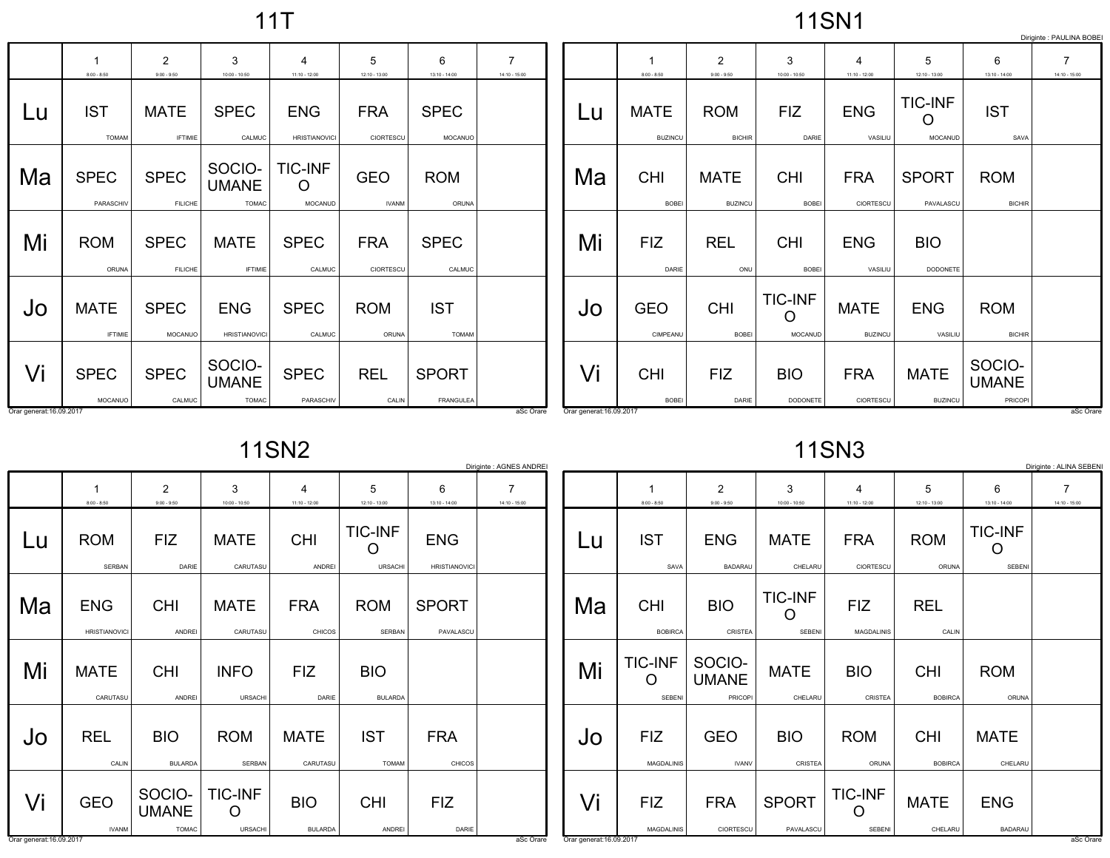11T

## 11SN1

|                          |                                          |                                 |                                        |                                      |                            |                            |                                   |                          |                               |                                 |                                             |                                   |                                |                                   | Diriginte : PAULINA BOBE          |
|--------------------------|------------------------------------------|---------------------------------|----------------------------------------|--------------------------------------|----------------------------|----------------------------|-----------------------------------|--------------------------|-------------------------------|---------------------------------|---------------------------------------------|-----------------------------------|--------------------------------|-----------------------------------|-----------------------------------|
|                          | $\overline{\mathbf{1}}$<br>$8:00 - 8:50$ | $\overline{2}$<br>$9:00 - 9:50$ | 3<br>$10:00 - 10:50$                   | 4<br>$11:10 - 12:00$                 | 5<br>$12:10 - 13:00$       | 6<br>$13:10 - 14:00$       | $\overline{7}$<br>$14:10 - 15:00$ |                          | 1<br>$8:00 - 8:50$            | $\overline{2}$<br>$9:00 - 9:50$ | 3<br>$10:00 - 10:50$                        | $\overline{4}$<br>$11:10 - 12:00$ | 5<br>12:10 - 13:00             | 6<br>$13:10 - 14:00$              | $\overline{7}$<br>$14:10 - 15:00$ |
| Lu                       | <b>IST</b><br><b>TOMAM</b>               | <b>MATE</b><br><b>IFTIMIE</b>   | <b>SPEC</b><br>CALMUC                  | <b>ENG</b><br><b>HRISTIANOVICI</b>   | <b>FRA</b><br>CIORTESCU    | <b>SPEC</b><br>MOCANUO     |                                   | Lu                       | <b>MATE</b><br><b>BUZINCU</b> | <b>ROM</b><br><b>BICHIR</b>     | <b>FIZ</b><br>DARIE                         | <b>ENG</b><br>VASILIU             | <b>TIC-INF</b><br>O<br>MOCANUD | <b>IST</b><br>SAVA                |                                   |
| Ma                       | <b>SPEC</b><br>PARASCHIV                 | <b>SPEC</b><br><b>FILICHE</b>   | SOCIO-<br><b>UMANE</b><br><b>TOMAC</b> | <b>TIC-INF</b><br>$\circ$<br>MOCANUD | <b>GEO</b><br><b>IVANM</b> | <b>ROM</b><br>ORUNA        |                                   | Ma                       | <b>CHI</b><br><b>BOBEI</b>    | <b>MATE</b><br><b>BUZINCU</b>   | <b>CHI</b><br><b>BOBEI</b>                  | <b>FRA</b><br>CIORTESCU           | <b>SPORT</b><br>PAVALASCU      | <b>ROM</b><br><b>BICHIR</b>       |                                   |
| Mi                       | <b>ROM</b><br>ORUNA                      | <b>SPEC</b><br><b>FILICHE</b>   | <b>MATE</b><br><b>IFTIMIE</b>          | <b>SPEC</b><br>CALMUC                | <b>FRA</b><br>CIORTESCU    | <b>SPEC</b><br>CALMUC      |                                   | Mi                       | <b>FIZ</b><br>DARIE           | <b>REL</b><br>ONU               | <b>CHI</b><br><b>BOBEI</b>                  | <b>ENG</b><br>VASILIU             | <b>BIO</b><br>DODONETE         |                                   |                                   |
| Jo                       | <b>MATE</b><br><b>IFTIMIE</b>            | <b>SPEC</b><br>MOCANUO          | <b>ENG</b><br><b>HRISTIANOVICI</b>     | <b>SPEC</b><br>CALMUC                | <b>ROM</b><br>ORUNA        | <b>IST</b><br><b>TOMAM</b> |                                   | Jo                       | <b>GEO</b><br>CIMPEANU        | <b>CHI</b><br><b>BOBEI</b>      | <b>TIC-INF</b><br>$\circ$<br><b>MOCANUD</b> | <b>MATE</b><br><b>BUZINCU</b>     | <b>ENG</b><br>VASILIU          | <b>ROM</b><br><b>BICHIR</b>       |                                   |
| Vi                       | <b>SPEC</b><br>MOCANUO                   | <b>SPEC</b><br>CALMUC           | SOCIO-<br><b>UMANE</b><br><b>TOMAC</b> | <b>SPEC</b><br>PARASCHIV             | <b>REL</b><br>CALIN        | <b>SPORT</b><br>FRANGULEA  |                                   | Vi                       | <b>CHI</b><br><b>BOBEI</b>    | <b>FIZ</b><br>DARIE             | <b>BIO</b><br>DODONETE                      | <b>FRA</b><br>CIORTESCU           | <b>MATE</b><br><b>BUZINCU</b>  | SOCIO-<br><b>UMANE</b><br>PRICOPI |                                   |
| Orar generat: 16.09.2017 |                                          |                                 |                                        |                                      |                            |                            | aSc Orare                         | Orar generat: 16.09.2017 |                               |                                 |                                             |                                   |                                |                                   | aSc Orare                         |

Orar generat:16.09.2017and the contract of the contract of the contract of the contract of the contract of the contract of the contract of the contract of the contract of the contract of the contract of the contract of the contract of the contra

11SN2

|                          | Diriginte : AGNES ANDREI           |                                        |                                  |                              |                                         |                                    |                    |  |  |  |  |  |
|--------------------------|------------------------------------|----------------------------------------|----------------------------------|------------------------------|-----------------------------------------|------------------------------------|--------------------|--|--|--|--|--|
|                          | 1<br>$8:00 - 8:50$                 | $\overline{2}$<br>$9:00 - 9:50$        | 3<br>$10:00 - 10:50$             | 4<br>$11:10 - 12:00$         | 5<br>12:10 - 13:00                      | 6<br>$13:10 - 14:00$               | 7<br>14:10 - 15:00 |  |  |  |  |  |
| Lu                       | <b>ROM</b><br><b>SERBAN</b>        | <b>FIZ</b><br>DARIE                    | <b>MATE</b><br>CARUTASU          | <b>CHI</b><br><b>ANDREI</b>  | <b>TIC-INF</b><br>( )<br><b>URSACHI</b> | <b>ENG</b><br><b>HRISTIANOVICI</b> |                    |  |  |  |  |  |
| Ma                       | <b>ENG</b><br><b>HRISTIANOVICI</b> | <b>CHI</b><br><b>ANDREI</b>            | <b>MATE</b><br>CARUTASU          | <b>FRA</b><br><b>CHICOS</b>  | <b>ROM</b><br><b>SERBAN</b>             | <b>SPORT</b><br>PAVALASCU          |                    |  |  |  |  |  |
| Mi                       | <b>MATE</b><br>CARUTASU            | <b>CHI</b><br><b>ANDREI</b>            | <b>INFO</b><br><b>URSACHI</b>    | <b>FIZ</b><br>DARIE          | <b>BIO</b><br><b>BULARDA</b>            |                                    |                    |  |  |  |  |  |
| Jo                       | <b>REL</b><br>CALIN                | <b>BIO</b><br><b>BULARDA</b>           | <b>ROM</b><br><b>SERBAN</b>      | <b>MATE</b><br>CARUTASU      | <b>IST</b><br><b>TOMAM</b>              | <b>FRA</b><br><b>CHICOS</b>        |                    |  |  |  |  |  |
| Vi                       | <b>GEO</b><br><b>IVANM</b>         | SOCIO-<br><b>UMANE</b><br><b>TOMAC</b> | <b>TIC-INF</b><br><b>URSACHI</b> | <b>BIO</b><br><b>BULARDA</b> | <b>CHI</b><br>ANDREI                    | <b>FIZ</b><br>DARIE                |                    |  |  |  |  |  |
| Orar generat: 16.09.2017 |                                    |                                        |                                  |                              |                                         |                                    | aSc Orare          |  |  |  |  |  |

11SN3

|    |                                      |                                   |                                 |                                 |                              |                                 | Diriginte : ALINA SEBENI |
|----|--------------------------------------|-----------------------------------|---------------------------------|---------------------------------|------------------------------|---------------------------------|--------------------------|
|    | 1                                    | $\overline{2}$                    | 3                               | 4                               | 5                            | 6                               | 7                        |
|    | $8:00 - 8:50$                        | $9:00 - 9:50$                     | 10:00 - 10:50                   | 11:10 - 12:00                   | 12:10 - 13:00                | $13:10 - 14:00$                 | 14:10 - 15:00            |
| Lu | <b>IST</b><br>SAVA                   | <b>ENG</b><br><b>BADARAU</b>      | <b>MATE</b><br>CHELARU          | <b>FRA</b><br>CIORTESCU         | <b>ROM</b><br>ORUNA          | <b>TIC-INF</b><br><b>SEBENI</b> |                          |
| Ma | <b>CHI</b><br><b>BOBIRCA</b>         | <b>BIO</b><br>CRISTEA             | <b>TIC-INF</b><br><b>SEBENI</b> | FIZ<br><b>MAGDALINIS</b>        | <b>REL</b><br>CALIN          |                                 |                          |
| Mi | <b>TIC-INF</b><br>Ω<br><b>SEBENI</b> | SOCIO-<br><b>UMANE</b><br>PRICOPI | <b>MATE</b><br>CHELARU          | <b>BIO</b><br><b>CRISTEA</b>    | <b>CHI</b><br><b>BOBIRCA</b> | <b>ROM</b><br>ORUNA             |                          |
| Jo | <b>FIZ</b><br><b>MAGDALINIS</b>      | <b>GEO</b><br><b>IVANV</b>        | <b>BIO</b><br>CRISTEA           | <b>ROM</b><br>ORUNA             | <b>CHI</b><br><b>BOBIRCA</b> | <b>MATE</b><br>CHELARU          |                          |
| Vi | <b>FIZ</b><br>MAGDALINIS             | <b>FRA</b><br>CIORTESCU           | <b>SPORT</b><br>PAVALASCU       | <b>TIC-INF</b><br><b>SEBENI</b> | <b>MATE</b><br>CHELARU       | <b>ENG</b><br><b>BADARAU</b>    |                          |

aSc Orare Qrar generat:16.09.2017

and the contract of the contract of the contract of the contract of the contract of the contract of the contract of the contract of the contract of the contract of the contract of the contract of the contract of the contra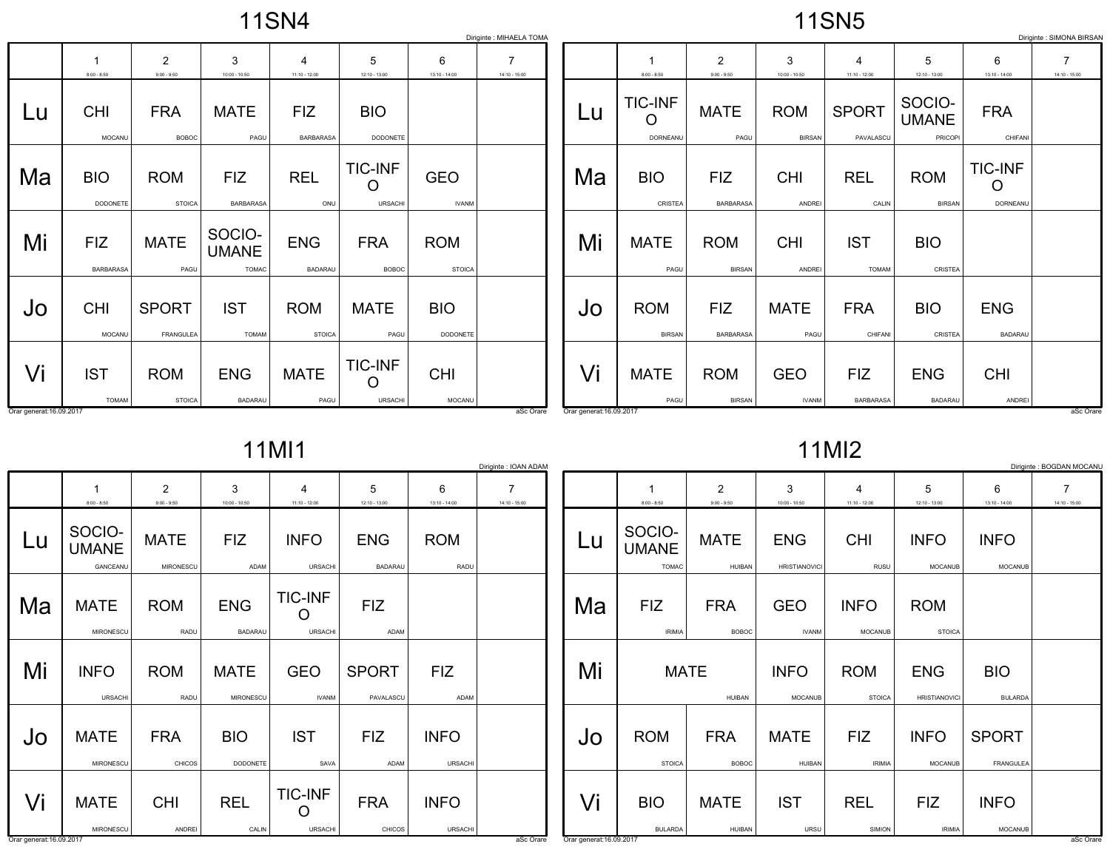11SN4

11SN5

| Diriginte : MIHAELA TOMA |                         |                                 |                                        |                                |                                       |                             |                                   |                          |                                 |                                 |                             | Diriginte : SIMONA BIRSAN         |                                   |                                 |                                   |
|--------------------------|-------------------------|---------------------------------|----------------------------------------|--------------------------------|---------------------------------------|-----------------------------|-----------------------------------|--------------------------|---------------------------------|---------------------------------|-----------------------------|-----------------------------------|-----------------------------------|---------------------------------|-----------------------------------|
|                          | $8:00 - 8:50$           | $\overline{2}$<br>$9:00 - 9:50$ | 3<br>$10:00 - 10:50$                   | 4<br>$11:10 - 12:00$           | 5<br>$12:10 - 13:00$                  | 6<br>$13:10 - 14:00$        | $\overline{7}$<br>$14:10 - 15:00$ |                          | $8:00 - 8:50$                   | $\overline{2}$<br>$9:00 - 9:50$ | 3<br>$10:00 - 10:50$        | $\overline{4}$<br>$11:10 - 12:00$ | 5<br>$12:10 - 13:00$              | 6<br>$13:10 - 14:00$            | $\overline{7}$<br>$14:10 - 15:00$ |
| Lu                       | <b>CHI</b><br>MOCANU    | <b>FRA</b><br><b>BOBOC</b>      | <b>MATE</b><br>PAGU                    | <b>FIZ</b><br><b>BARBARASA</b> | <b>BIO</b><br>DODONETE                |                             |                                   | Lu                       | <b>TIC-INF</b><br>O<br>DORNEANU | <b>MATE</b><br>PAGU             | <b>ROM</b><br><b>BIRSAN</b> | <b>SPORT</b><br>PAVALASCU         | SOCIO-<br><b>UMANE</b><br>PRICOPI | <b>FRA</b><br>CHIFANI           |                                   |
| Ma                       | <b>BIO</b><br>DODONETE  | <b>ROM</b><br><b>STOICA</b>     | <b>FIZ</b><br><b>BARBARASA</b>         | <b>REL</b><br>ONU              | <b>TIC-INF</b><br>O<br><b>URSACHI</b> | <b>GEO</b><br><b>IVANM</b>  |                                   | Ma                       | <b>BIO</b><br>CRISTEA           | <b>FIZ</b><br><b>BARBARASA</b>  | <b>CHI</b><br>ANDREI        | <b>REL</b><br>CALIN               | <b>ROM</b><br><b>BIRSAN</b>       | <b>TIC-INF</b><br>O<br>DORNEANU |                                   |
| Mi                       | <b>FIZ</b><br>BARBARASA | <b>MATE</b><br>PAGU             | SOCIO-<br><b>UMANE</b><br><b>TOMAC</b> | <b>ENG</b><br><b>BADARAU</b>   | <b>FRA</b><br><b>BOBOC</b>            | <b>ROM</b><br><b>STOICA</b> |                                   | Mi                       | <b>MATE</b><br>PAGU             | <b>ROM</b><br><b>BIRSAN</b>     | <b>CHI</b><br>ANDREI        | <b>IST</b><br><b>TOMAM</b>        | <b>BIO</b><br>CRISTEA             |                                 |                                   |
| Jo                       | <b>CHI</b><br>MOCANU    | <b>SPORT</b><br>FRANGULEA       | <b>IST</b><br><b>TOMAM</b>             | <b>ROM</b><br><b>STOICA</b>    | <b>MATE</b><br>PAGU                   | <b>BIO</b><br>DODONETE      |                                   | JO                       | <b>ROM</b><br><b>BIRSAN</b>     | <b>FIZ</b><br>BARBARASA         | <b>MATE</b><br>PAGU         | <b>FRA</b><br>CHIFANI             | <b>BIO</b><br>CRISTEA             | <b>ENG</b><br><b>BADARAU</b>    |                                   |
| Vi                       | <b>IST</b><br>TOMAM     | <b>ROM</b><br><b>STOICA</b>     | <b>ENG</b><br>BADARAU                  | <b>MATE</b><br>PAGU            | <b>TIC-INF</b><br>$\circ$<br>URSACHI  | <b>CHI</b><br>MOCANU        |                                   | Vi                       | <b>MATE</b><br>PAGU             | <b>ROM</b><br><b>BIRSAN</b>     | <b>GEO</b><br><b>IVANM</b>  | <b>FIZ</b><br>BARBARASA           | <b>ENG</b><br><b>BADARAU</b>      | <b>CHI</b><br>ANDREI            |                                   |
| Orar generat: 16.09.2017 |                         |                                 |                                        |                                |                                       |                             | aSc Orare                         | Orar generat: 16.09.2017 |                                 |                                 |                             |                                   |                                   |                                 | aSc Orare                         |

11MI1

|  | $1$ MI $2$ |  |
|--|------------|--|
|--|------------|--|

|                                    |                                 |                                 |                                  |                              |                               | Diriginte : IOAN ADAM |
|------------------------------------|---------------------------------|---------------------------------|----------------------------------|------------------------------|-------------------------------|-----------------------|
| 1<br>$8:00 - 8:50$                 | $\overline{2}$<br>$9:00 - 9:50$ | 3<br>$10:00 - 10:50$            | 4<br>$11:10 - 12:00$             | 5<br>12:10 - 13:00           | 6<br>$13:10 - 14:00$          | 7<br>14:10 - 15:00    |
| SOCIO-<br><b>UMANE</b><br>GANCEANU | <b>MATE</b><br><b>MIRONESCU</b> | <b>FIZ</b><br>ADAM              | <b>INFO</b><br><b>URSACHI</b>    | <b>ENG</b><br><b>BADARAU</b> | <b>ROM</b><br><b>RADU</b>     |                       |
| <b>MATE</b><br><b>MIRONESCU</b>    | <b>ROM</b><br>RADU              | <b>ENG</b><br><b>BADARAU</b>    | <b>TIC-INF</b><br><b>URSACHI</b> | <b>FIZ</b><br>ADAM           |                               |                       |
| <b>INFO</b><br><b>URSACHI</b>      | <b>ROM</b><br><b>RADU</b>       | <b>MATE</b><br><b>MIRONESCU</b> | <b>GEO</b><br><b>IVANM</b>       | <b>SPORT</b><br>PAVALASCU    | <b>FIZ</b><br>ADAM            |                       |
| <b>MATE</b><br><b>MIRONESCU</b>    | <b>FRA</b><br>CHICOS            | <b>BIO</b><br><b>DODONETE</b>   | <b>IST</b><br>SAVA               | <b>FIZ</b><br><b>ADAM</b>    | <b>INFO</b><br><b>URSACHI</b> |                       |
| <b>MATE</b>                        | <b>CHI</b>                      | <b>REL</b>                      | <b>TIC-INF</b>                   | <b>FRA</b>                   | <b>INFO</b>                   |                       |
|                                    | MIRONESCU                       | ANDREI                          | CALIN                            | <b>URSACHI</b>               | <b>CHICOS</b>                 | <b>URSACHI</b>        |

|    |                        |                    |                      |                      |                      |                      | Diriginte : BOGDAN MOCANU |
|----|------------------------|--------------------|----------------------|----------------------|----------------------|----------------------|---------------------------|
|    | 1<br>$8:00 - 8:50$     | 2<br>$9:00 - 9:50$ | 3<br>10:00 - 10:50   | 4<br>$11:10 - 12:00$ | 5<br>$12:10 - 13:00$ | 6<br>$13:10 - 14:00$ | 7<br>14:10 - 15:00        |
|    |                        |                    |                      |                      |                      |                      |                           |
| Lu | SOCIO-<br><b>UMANE</b> | <b>MATE</b>        | <b>ENG</b>           | <b>CHI</b>           | <b>INFO</b>          | <b>INFO</b>          |                           |
|    | <b>TOMAC</b>           | <b>HUIBAN</b>      | <b>HRISTIANOVICI</b> | RUSU                 | <b>MOCANUB</b>       | <b>MOCANUB</b>       |                           |
|    |                        |                    |                      |                      |                      |                      |                           |
| Ma | <b>FIZ</b>             | <b>FRA</b>         | <b>GEO</b>           | <b>INFO</b>          | <b>ROM</b>           |                      |                           |
|    | <b>IRIMIA</b>          | <b>BOBOC</b>       | <b>IVANM</b>         | <b>MOCANUB</b>       | <b>STOICA</b>        |                      |                           |
|    |                        |                    |                      |                      |                      |                      |                           |
| Mi | <b>MATE</b>            |                    | <b>INFO</b>          | <b>ROM</b>           | <b>ENG</b>           | <b>BIO</b>           |                           |
|    |                        | <b>HUIBAN</b>      | <b>MOCANUB</b>       | <b>STOICA</b>        | <b>HRISTIANOVICI</b> | <b>BULARDA</b>       |                           |
|    |                        |                    |                      |                      |                      |                      |                           |
| Jo | <b>ROM</b>             | <b>FRA</b>         | <b>MATE</b>          | <b>FIZ</b>           | <b>INFO</b>          | <b>SPORT</b>         |                           |
|    | <b>STOICA</b>          | <b>BOBOC</b>       | <b>HUIBAN</b>        | <b>IRIMIA</b>        | <b>MOCANUB</b>       | <b>FRANGULEA</b>     |                           |
|    |                        |                    |                      |                      |                      |                      |                           |
| Vi | <b>BIO</b>             | <b>MATE</b>        | <b>IST</b>           | <b>REL</b>           | <b>FIZ</b>           | <b>INFO</b>          |                           |
|    | <b>BULARDA</b>         | <b>HUIBAN</b>      | URSU                 | SIMION               | <b>IRIMIA</b>        | <b>MOCANUB</b>       |                           |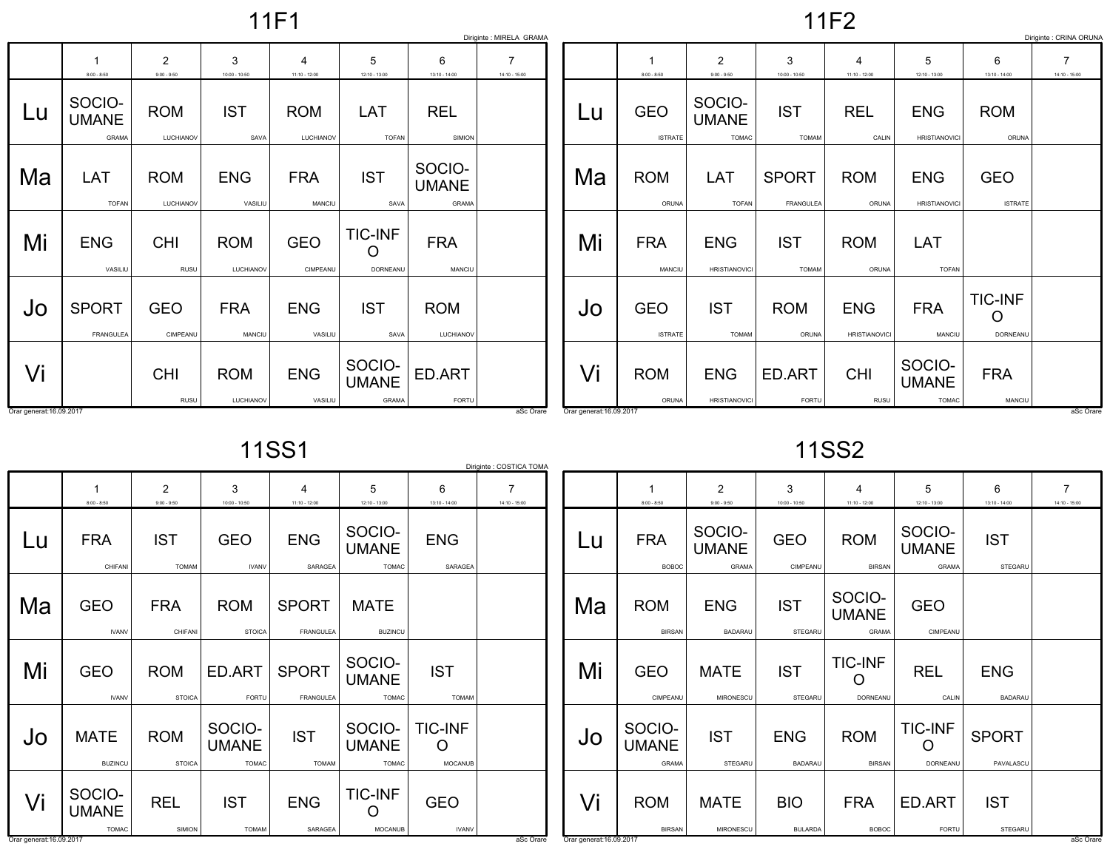11F1

11F2

|    |                                        |                           |                         |                             |                                        |                                        | Diriginte : MIRELA GRAMA |
|----|----------------------------------------|---------------------------|-------------------------|-----------------------------|----------------------------------------|----------------------------------------|--------------------------|
|    | 1<br>$8:00 - 8:50$                     | 2<br>$9:00 - 9:50$        | 3<br>$10:00 - 10:50$    | 4<br>11:10 - 12:00          | 5<br>12:10 - 13:00                     | 6<br>$13:10 - 14:00$                   | 7<br>14:10 - 15:00       |
| Lu | SOCIO-<br><b>UMANE</b><br><b>GRAMA</b> | <b>ROM</b><br>LUCHIANOV   | <b>IST</b><br>SAVA      | <b>ROM</b><br>LUCHIANOV     | <b>LAT</b><br><b>TOFAN</b>             | <b>REL</b><br>SIMION                   |                          |
| Ma | LAT<br><b>TOFAN</b>                    | <b>ROM</b><br>LUCHIANOV   | <b>ENG</b><br>VASILIU   | <b>FRA</b><br><b>MANCIU</b> | <b>IST</b><br>SAVA                     | SOCIO-<br><b>UMANE</b><br><b>GRAMA</b> |                          |
| Mi | <b>ENG</b><br>VASILIU                  | <b>CHI</b><br><b>RUSU</b> | <b>ROM</b><br>LUCHIANOV | <b>GEO</b><br>CIMPEANU      | <b>TIC-INF</b><br><b>DORNEANU</b>      | <b>FRA</b><br>MANCIU                   |                          |
| Jo | <b>SPORT</b><br><b>FRANGULEA</b>       | <b>GEO</b><br>CIMPEANU    | <b>FRA</b><br>MANCIU    | <b>ENG</b><br>VASILIU       | <b>IST</b><br>SAVA                     | <b>ROM</b><br>LUCHIANOV                |                          |
| Vi |                                        | <b>CHI</b><br><b>RUSU</b> | <b>ROM</b><br>LUCHIANOV | <b>ENG</b><br>VASILIU       | SOCIO-<br><b>UMANE</b><br><b>GRAMA</b> | ED.ART<br><b>FORTU</b>                 |                          |

|    |                              |                                        |                                  |                                    |                                        |                              | Diriginte : CRINA ORUNA |
|----|------------------------------|----------------------------------------|----------------------------------|------------------------------------|----------------------------------------|------------------------------|-------------------------|
|    | $8:00 - 8:50$                | 2<br>$9:00 - 9:50$                     | 3<br>$10:00 - 10:50$             | 4<br>$11:10 - 12:00$               | 5<br>$12:10 - 13:00$                   | 6<br>$13:10 - 14:00$         | 7<br>$14:10 - 15:00$    |
| Lu | <b>GEO</b><br><b>ISTRATE</b> | SOCIO-<br><b>UMANE</b><br><b>TOMAC</b> | <b>IST</b><br><b>TOMAM</b>       | <b>REL</b><br>CALIN                | <b>ENG</b><br><b>HRISTIANOVICI</b>     | <b>ROM</b><br>ORUNA          |                         |
| Ma | <b>ROM</b><br>ORUNA          | <b>LAT</b><br><b>TOFAN</b>             | <b>SPORT</b><br><b>FRANGULEA</b> | <b>ROM</b><br>ORUNA                | <b>ENG</b><br><b>HRISTIANOVICI</b>     | <b>GEO</b><br><b>ISTRATE</b> |                         |
| Mi | <b>FRA</b><br><b>MANCIU</b>  | <b>ENG</b><br><b>HRISTIANOVICI</b>     | <b>IST</b><br><b>TOMAM</b>       | <b>ROM</b><br>ORUNA                | <b>LAT</b><br><b>TOFAN</b>             |                              |                         |
| Jo | <b>GEO</b><br><b>ISTRATE</b> | <b>IST</b><br><b>TOMAM</b>             | <b>ROM</b><br>ORUNA              | <b>ENG</b><br><b>HRISTIANOVICI</b> | <b>FRA</b><br>MANCIU                   | <b>TIC-INF</b><br>DORNEANU   |                         |
| Vi | <b>ROM</b><br>ORUNA          | <b>ENG</b><br><b>HRISTIANOVICI</b>     | ED.ART<br>FORTU                  | <b>CHI</b><br><b>RUSU</b>          | SOCIO-<br><b>UMANE</b><br><b>TOMAC</b> | <b>FRA</b><br>MANCIU         |                         |

11SS1

|                                |                                        |                                 |                                        |                                  |                                        |                                  | Diriginte : COSTICA TOMA |
|--------------------------------|----------------------------------------|---------------------------------|----------------------------------------|----------------------------------|----------------------------------------|----------------------------------|--------------------------|
|                                | 1<br>$8:00 - 8:50$                     | $\overline{2}$<br>$9:00 - 9:50$ | 3<br>$10:00 - 10:50$                   | 4<br>$11:10 - 12:00$             | 5<br>12:10 - 13:00                     | 6<br>$13:10 - 14:00$             | 7<br>$14:10 - 15:00$     |
| Lu                             | <b>FRA</b><br>CHIFANI                  | <b>IST</b><br><b>TOMAM</b>      | GEO<br><b>IVANV</b>                    | <b>ENG</b><br>SARAGEA            | SOCIO-<br><b>UMANE</b><br><b>TOMAC</b> | <b>ENG</b><br>SARAGEA            |                          |
| Ma                             | <b>GEO</b><br><b>IVANV</b>             | <b>FRA</b><br>CHIFANI           | <b>ROM</b><br><b>STOICA</b>            | <b>SPORT</b><br><b>FRANGULEA</b> | <b>MATE</b><br><b>BUZINCU</b>          |                                  |                          |
| Mi                             | <b>GEO</b><br><b>IVANV</b>             | <b>ROM</b><br><b>STOICA</b>     | ED.ART<br><b>FORTU</b>                 | <b>SPORT</b><br><b>FRANGULEA</b> | SOCIO-<br><b>UMANE</b><br><b>TOMAC</b> | <b>IST</b><br><b>TOMAM</b>       |                          |
| Jo                             | <b>MATE</b><br><b>BUZINCU</b>          | <b>ROM</b><br><b>STOICA</b>     | SOCIO-<br><b>UMANE</b><br><b>TOMAC</b> | <b>IST</b><br><b>TOMAM</b>       | SOCIO-<br><b>UMANE</b><br><b>TOMAC</b> | <b>TIC-INF</b><br><b>MOCANUB</b> |                          |
| Vi<br>Orar generat: 16.09.2017 | SOCIO-<br><b>UMANE</b><br><b>TOMAC</b> | <b>REL</b><br>SIMION            | <b>IST</b><br><b>TOMAM</b>             | <b>ENG</b><br>SARAGEA            | <b>TIC-INF</b><br><b>MOCANUB</b>       | <b>GEO</b><br><b>IVANV</b>       | aSc Orare                |

11SS2

|                          | 1<br>$8:00 - 8:50$                     | $\overline{2}$<br>$9:00 - 9:50$ | 3<br>$10:00 - 10:50$         | 4<br>$11:10 - 12:00$        | 5<br>12:10 - 13:00                | 6<br>13:10 - 14:00           | 7<br>14:10 - 15:00 |
|--------------------------|----------------------------------------|---------------------------------|------------------------------|-----------------------------|-----------------------------------|------------------------------|--------------------|
| Lu                       | SOCIO-<br><b>FRA</b><br><b>UMANE</b>   |                                 | <b>GEO</b>                   | <b>ROM</b>                  | SOCIO-<br><b>UMANE</b>            | <b>IST</b>                   |                    |
|                          | <b>BOBOC</b>                           | <b>GRAMA</b>                    | CIMPEANU                     | <b>BIRSAN</b>               | <b>GRAMA</b>                      | STEGARU                      |                    |
| Ma                       | <b>ROM</b>                             | <b>ENG</b>                      | <b>IST</b>                   | SOCIO-<br><b>UMANE</b>      | <b>GEO</b>                        |                              |                    |
|                          | <b>BIRSAN</b>                          | <b>BADARAU</b>                  | <b>STEGARU</b>               | <b>GRAMA</b>                | CIMPEANU                          |                              |                    |
| Mi                       | <b>GEO</b><br>CIMPEANU                 | <b>MATE</b><br>MIRONESCU        | <b>IST</b><br>STEGARU        | <b>TIC-INF</b><br>DORNEANU  | <b>REL</b><br>CALIN               | <b>ENG</b><br><b>BADARAU</b> |                    |
|                          |                                        |                                 |                              |                             |                                   |                              |                    |
| Jo                       | SOCIO-<br><b>UMANE</b><br><b>GRAMA</b> | <b>IST</b><br><b>STEGARU</b>    | <b>ENG</b><br><b>BADARAU</b> | <b>ROM</b><br><b>BIRSAN</b> | <b>TIC-INF</b><br><b>DORNEANU</b> | <b>SPORT</b><br>PAVALASCU    |                    |
| Vi                       | <b>ROM</b>                             | <b>MATE</b>                     | <b>BIO</b>                   | <b>FRA</b>                  | ED.ART                            | <b>IST</b>                   |                    |
| Orar generat: 16.09.2017 | <b>BIRSAN</b>                          | <b>MIRONESCU</b>                | <b>BULARDA</b>               | <b>BOBOC</b>                | <b>FORTU</b>                      | STEGARU                      | aSc Orare          |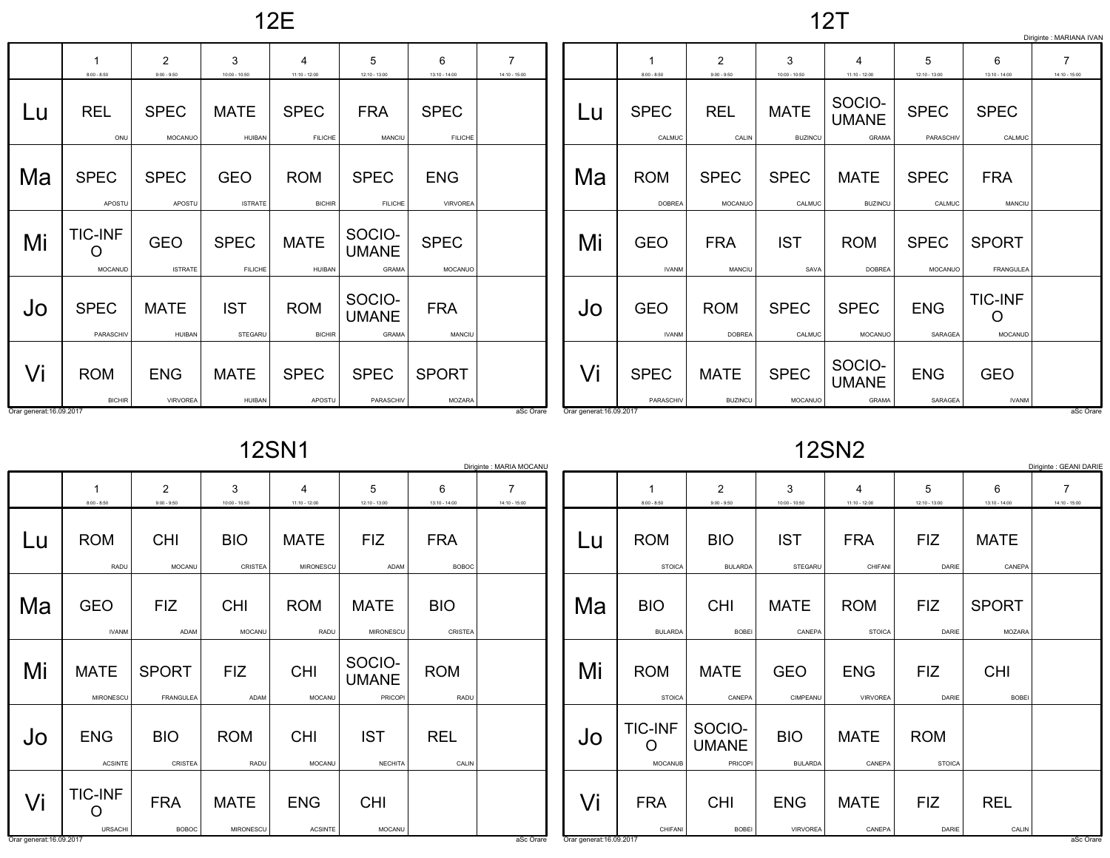12E

12T

|                          |                                      |                              |                               |                               |                                        |                               |                 |                          |                             |                                 |                               |                                 |                              |                                | Diriginte : MARIANA IVAN        |
|--------------------------|--------------------------------------|------------------------------|-------------------------------|-------------------------------|----------------------------------------|-------------------------------|-----------------|--------------------------|-----------------------------|---------------------------------|-------------------------------|---------------------------------|------------------------------|--------------------------------|---------------------------------|
|                          | 1<br>$8:00 - 8:50$                   | 2<br>$9:00 - 9:50$           | 3<br>$10:00 - 10:50$          | $11:10 - 12:00$               | 5<br>$12:10 - 13:00$                   | 6<br>$13:10 - 14:00$          | $14:10 - 15:00$ |                          | $8:00 - 8:50$               | $\overline{2}$<br>$9:00 - 9:50$ | 3<br>$10:00 - 10:50$          | 4<br>11:10 - 12:00              | 5<br>$12:10 - 13:00$         | 6<br>$13:10 - 14:00$           | $\overline{7}$<br>14:10 - 15:00 |
| Lu                       | <b>REL</b><br>ONU                    | <b>SPEC</b><br>MOCANUO       | <b>MATE</b><br><b>HUIBAN</b>  | <b>SPEC</b><br><b>FILICHE</b> | <b>FRA</b><br>MANCIU                   | <b>SPEC</b><br><b>FILICHE</b> |                 | Lu                       | <b>SPEC</b><br>CALMUC       | <b>REL</b><br>CALIN             | <b>MATE</b><br><b>BUZINCU</b> | SOCIO-<br><b>UMANE</b><br>GRAMA | <b>SPEC</b><br>PARASCHIV     | <b>SPEC</b><br>CALMUC          |                                 |
| Ma                       | <b>SPEC</b><br>APOSTU                | <b>SPEC</b><br>APOSTU        | <b>GEO</b><br><b>ISTRATE</b>  | <b>ROM</b><br><b>BICHIR</b>   | <b>SPEC</b><br><b>FILICHE</b>          | <b>ENG</b><br><b>VIRVOREA</b> |                 | Ma                       | <b>ROM</b><br><b>DOBREA</b> | <b>SPEC</b><br><b>MOCANUO</b>   | <b>SPEC</b><br>CALMUC         | <b>MATE</b><br><b>BUZINCU</b>   | <b>SPEC</b><br>CALMUC        | <b>FRA</b><br><b>MANCIU</b>    |                                 |
| Mi                       | <b>TIC-INF</b><br>$\circ$<br>MOCANUD | <b>GEO</b><br><b>ISTRATE</b> | <b>SPEC</b><br><b>FILICHE</b> | <b>MATE</b><br><b>HUIBAN</b>  | SOCIO-<br><b>UMANE</b><br><b>GRAMA</b> | <b>SPEC</b><br>MOCANUO        |                 | Mi                       | <b>GEO</b><br><b>IVANM</b>  | <b>FRA</b><br><b>MANCIU</b>     | <b>IST</b><br>SAVA            | <b>ROM</b><br><b>DOBREA</b>     | <b>SPEC</b><br>MOCANUO       | <b>SPORT</b><br>FRANGULEA      |                                 |
| Jo                       | <b>SPEC</b><br>PARASCHIV             | <b>MATE</b><br><b>HUIBAN</b> | <b>IST</b><br>STEGARU         | <b>ROM</b><br><b>BICHIR</b>   | SOCIO-<br><b>UMANE</b><br>GRAMA        | <b>FRA</b><br>MANCIU          |                 | Jo                       | <b>GEO</b><br><b>IVANM</b>  | <b>ROM</b><br><b>DOBREA</b>     | <b>SPEC</b><br>CALMUC         | <b>SPEC</b><br>MOCANUO          | <b>ENG</b><br><b>SARAGEA</b> | <b>TIC-INF</b><br>O<br>MOCANUD |                                 |
| Vi                       | <b>ROM</b>                           | <b>ENG</b>                   | <b>MATE</b>                   | <b>SPEC</b>                   | <b>SPEC</b>                            | <b>SPORT</b>                  |                 | Vi                       | <b>SPEC</b>                 | <b>MATE</b>                     | <b>SPEC</b>                   | SOCIO-<br><b>UMANE</b>          | <b>ENG</b>                   | <b>GEO</b>                     |                                 |
| Orar generat: 16.09.2017 | <b>BICHIR</b>                        | <b>VIRVOREA</b>              | HUIBAN                        | APOSTU                        | PARASCHIV                              | MOZARA                        | aSc Orare       | Orar generat: 16.09.2017 | PARASCHIV                   | <b>BUZINCU</b>                  | MOCANUO                       | GRAMA                           | <b>SARAGEA</b>               | <b>IVANM</b>                   | aSc Orare                       |

12SN1

|    |                                  |                                  |                          |                                 |                                          |                            | Diriginte : MARIA MOCANU |
|----|----------------------------------|----------------------------------|--------------------------|---------------------------------|------------------------------------------|----------------------------|--------------------------|
|    | 1                                | $\overline{2}$                   | 3                        | 4                               | 5                                        | 6                          | 7                        |
|    | $8:00 - 8:50$                    | $9:00 - 9:50$                    | $10:00 - 10:50$          | 11:10 - 12:00                   | $12:10 - 13:00$                          | $13:10 - 14:00$            | 14:10 - 15:00            |
| Lu | <b>ROM</b><br>RADU               | <b>CHI</b><br><b>MOCANU</b>      | <b>BIO</b><br>CRISTEA    | <b>MATE</b><br><b>MIRONESCU</b> | <b>FIZ</b><br>ADAM                       | <b>FRA</b><br><b>BOBOC</b> |                          |
|    |                                  |                                  |                          |                                 |                                          |                            |                          |
| Ma | <b>GEO</b>                       | <b>FIZ</b>                       | <b>CHI</b>               | <b>ROM</b>                      | <b>MATE</b>                              | <b>BIO</b>                 |                          |
|    | <b>IVANM</b>                     | ADAM                             | <b>MOCANU</b>            | RADU                            | MIRONESCU                                | CRISTEA                    |                          |
| Mi | <b>MATE</b><br><b>MIRONESCU</b>  | <b>SPORT</b><br><b>FRANGULEA</b> | <b>FIZ</b><br>ADAM       | <b>CHI</b><br>MOCANU            | SOCIO-<br><b>UMANE</b><br><b>PRICOPI</b> | <b>ROM</b><br>RADU         |                          |
| Jo | <b>ENG</b><br><b>ACSINTE</b>     | <b>BIO</b><br>CRISTEA            | <b>ROM</b><br>RADU       | <b>CHI</b><br>MOCANU            | <b>IST</b><br><b>NECHITA</b>             | <b>REL</b><br>CALIN        |                          |
| Vi | <b>TIC-INF</b><br><b>URSACHI</b> | <b>FRA</b><br><b>BOBOC</b>       | <b>MATE</b><br>MIRONESCU | <b>ENG</b><br><b>ACSINTE</b>    | <b>CHI</b><br><b>MOCANU</b>              |                            |                          |

12SN2

|    |                                       |                                          |                               |                               |                             |                            | Diriginte : GEANI DARIE |
|----|---------------------------------------|------------------------------------------|-------------------------------|-------------------------------|-----------------------------|----------------------------|-------------------------|
|    | 1<br>$8:00 - 8:50$                    | $\overline{2}$<br>$9:00 - 9:50$          | 3<br>$10:00 - 10:50$          | 4<br>$11:10 - 12:00$          | 5<br>12:10 - 13:00          | 6<br>13:10 - 14:00         | 7<br>14:10 - 15:00      |
| Lu | <b>ROM</b><br><b>STOICA</b>           | <b>BIO</b><br><b>BULARDA</b>             | <b>IST</b><br><b>STEGARU</b>  | <b>FRA</b><br>CHIFANI         | FIZ<br>DARIE                | <b>MATE</b><br>CANEPA      |                         |
| Ma | <b>BIO</b><br><b>BULARDA</b>          | <b>CHI</b><br><b>BOBEI</b>               | <b>MATE</b><br>CANEPA         | <b>ROM</b><br><b>STOICA</b>   | <b>FIZ</b><br>DARIE         | <b>SPORT</b><br>MOZARA     |                         |
| Mi | <b>ROM</b><br><b>STOICA</b>           | <b>MATE</b><br>CANEPA                    | <b>GEO</b><br>CIMPEANU        | <b>ENG</b><br><b>VIRVOREA</b> | <b>FIZ</b><br>DARIE         | <b>CHI</b><br><b>BOBEI</b> |                         |
| Jo | <b>TIC-INF</b><br>Ω<br><b>MOCANUB</b> | SOCIO-<br><b>UMANE</b><br><b>PRICOPI</b> | <b>BIO</b><br><b>BULARDA</b>  | <b>MATE</b><br>CANEPA         | <b>ROM</b><br><b>STOICA</b> |                            |                         |
| Vi | <b>FRA</b><br>CHIFANI                 | <b>CHI</b><br><b>BOBEI</b>               | <b>ENG</b><br><b>VIRVOREA</b> | <b>MATE</b><br>CANEPA         | <b>FIZ</b><br>DARIE         | <b>REL</b><br>CALIN        |                         |

and the contract of the contract of the contract of the contract of the contract of the contract of the contract of the contract of the contract of the contract of the contract of the contract of the contract of the contra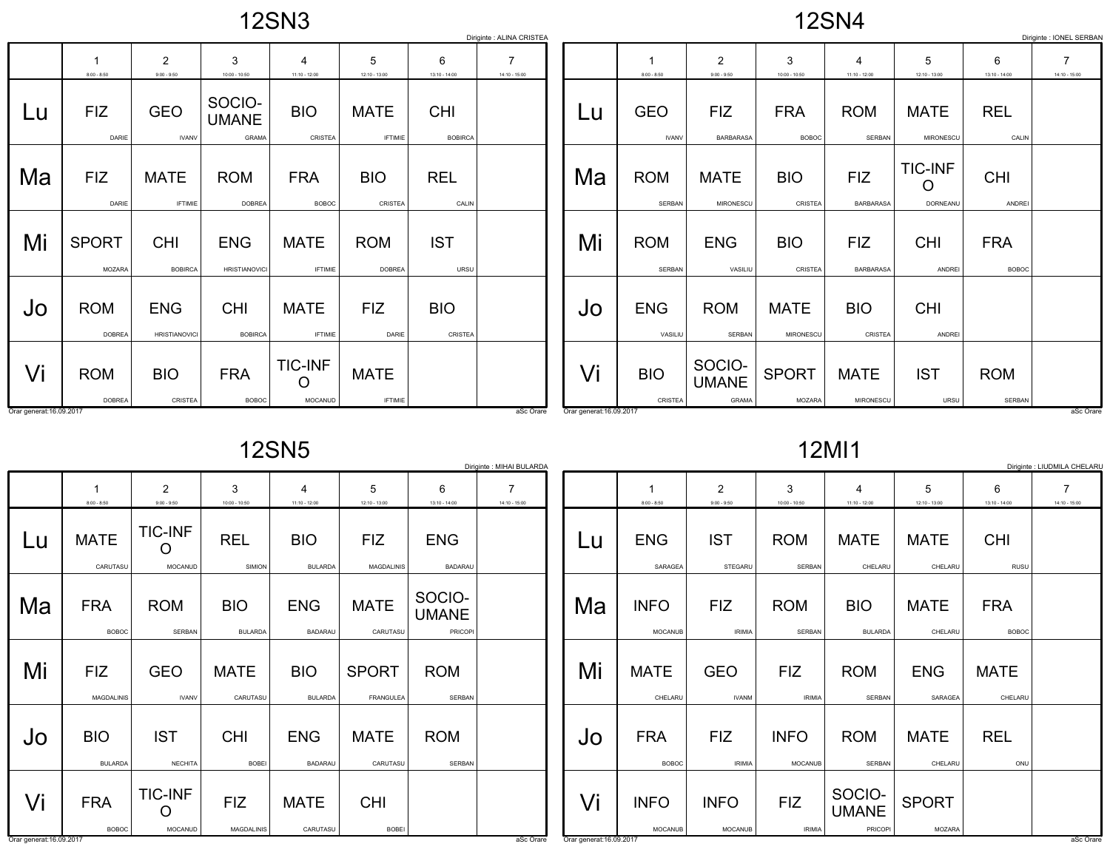12SN3

12SN4

|                          | Diriginte : ALINA CRISTEA<br>Diriginte : IONEL SERBAN |                                    |                                        |                                   |                               |                              |                                   |                          |                            |                                 |                                 |                                   |                                 |                            |                                   |
|--------------------------|-------------------------------------------------------|------------------------------------|----------------------------------------|-----------------------------------|-------------------------------|------------------------------|-----------------------------------|--------------------------|----------------------------|---------------------------------|---------------------------------|-----------------------------------|---------------------------------|----------------------------|-----------------------------------|
|                          | $8:00 - 8:50$                                         | 2<br>$9:00 - 9:50$                 | 3<br>$10:00 - 10:50$                   | $\overline{4}$<br>$11:10 - 12:00$ | 5<br>12:10 - 13:00            | 6<br>$13:10 - 14:00$         | $\overline{7}$<br>$14:10 - 15:00$ |                          | $8:00 - 8:50$              | $\overline{2}$<br>$9:00 - 9:50$ | 3<br>$10:00 - 10:50$            | $\overline{4}$<br>$11:10 - 12:00$ | 5<br>12:10 - 13:00              | 6<br>$13:10 - 14:00$       | $\overline{7}$<br>$14:10 - 15:00$ |
| Lu                       | <b>FIZ</b><br>DARIE                                   | <b>GEO</b><br><b>IVANV</b>         | SOCIO-<br><b>UMANE</b><br><b>GRAMA</b> | <b>BIO</b><br>CRISTEA             | <b>MATE</b><br><b>IFTIMIE</b> | <b>CHI</b><br><b>BOBIRCA</b> |                                   | Lu                       | <b>GEO</b><br><b>IVANV</b> | <b>FIZ</b><br><b>BARBARASA</b>  | <b>FRA</b><br><b>BOBOC</b>      | <b>ROM</b><br><b>SERBAN</b>       | <b>MATE</b><br>MIRONESCL        | <b>REL</b><br>CALIN        |                                   |
| Ma                       | <b>FIZ</b><br>DARIE                                   | <b>MATE</b><br><b>IFTIMIE</b>      | <b>ROM</b><br><b>DOBREA</b>            | <b>FRA</b><br><b>BOBOC</b>        | <b>BIO</b><br>CRISTEA         | <b>REL</b><br>CALIN          |                                   | Ma                       | <b>ROM</b><br>SERBAN       | <b>MATE</b><br>MIRONESCU        | <b>BIO</b><br>CRISTEA           | <b>FIZ</b><br><b>BARBARASA</b>    | <b>TIC-INF</b><br>O<br>DORNEANU | <b>CHI</b><br>ANDREI       |                                   |
| Mi                       | <b>SPORT</b><br><b>MOZARA</b>                         | <b>CHI</b><br><b>BOBIRCA</b>       | <b>ENG</b><br><b>HRISTIANOVICI</b>     | <b>MATE</b><br><b>IFTIMIE</b>     | <b>ROM</b><br><b>DOBREA</b>   | <b>IST</b><br>URSU           |                                   | Mi                       | <b>ROM</b><br>SERBAN       | <b>ENG</b><br>VASILIU           | <b>BIO</b><br>CRISTEA           | <b>FIZ</b><br><b>BARBARASA</b>    | <b>CHI</b><br>ANDREI            | <b>FRA</b><br><b>BOBOC</b> |                                   |
| Jo                       | <b>ROM</b><br><b>DOBREA</b>                           | <b>ENG</b><br><b>HRISTIANOVICI</b> | <b>CHI</b><br><b>BOBIRCA</b>           | <b>MATE</b><br><b>IFTIMIE</b>     | <b>FIZ</b><br>DARIE           | <b>BIO</b><br>CRISTEA        |                                   | Jo                       | <b>ENG</b><br>VASILIU      | <b>ROM</b><br><b>SERBAN</b>     | <b>MATE</b><br><b>MIRONESCU</b> | <b>BIO</b><br>CRISTEA             | <b>CHI</b><br>ANDREI            |                            |                                   |
| Vi                       | <b>ROM</b><br><b>DOBREA</b>                           | <b>BIO</b><br>CRISTEA              | <b>FRA</b><br><b>BOBOC</b>             | <b>TIC-INF</b><br>O<br>MOCANUD    | <b>MATE</b><br><b>IFTIMIE</b> |                              |                                   | Vi                       | <b>BIO</b><br>CRISTEA      | SOCIO-<br><b>UMANE</b><br>GRAMA | <b>SPORT</b><br>MOZARA          | <b>MATE</b><br>MIRONESCU          | <b>IST</b><br>URSU              | <b>ROM</b><br>SERBAN       |                                   |
| Orar generat: 16.09.2017 |                                                       |                                    |                                        |                                   |                               |                              | aSc Orare                         | Orar generat: 16.09.2017 |                            |                                 |                                 |                                   |                                 |                            | aSc Orare                         |

12SN5

|    | Diriginte : MIHAI BULARDA       |                                       |                              |                              |                                  |                                          |                      |  |
|----|---------------------------------|---------------------------------------|------------------------------|------------------------------|----------------------------------|------------------------------------------|----------------------|--|
|    | $\mathbf{1}$<br>$8:00 - 8:50$   | 2<br>$9:00 - 9:50$                    | 3<br>10:00 - 10:50           | 4<br>$11:10 - 12:00$         | 5<br>12:10 - 13:00               | 6<br>$13:10 - 14:00$                     | 7<br>$14:10 - 15:00$ |  |
| Lu | <b>MATE</b><br>CARUTASU         | <b>TIC-INF</b><br>Ω<br><b>MOCANUD</b> | <b>REL</b><br>SIMION         | <b>BIO</b><br><b>BULARDA</b> | <b>FIZ</b><br><b>MAGDALINIS</b>  | <b>ENG</b><br><b>BADARAU</b>             |                      |  |
| Ma | <b>FRA</b><br><b>BOBOC</b>      | <b>ROM</b><br><b>SERBAN</b>           | <b>BIO</b><br><b>BULARDA</b> | <b>ENG</b><br><b>BADARAU</b> | <b>MATE</b><br>CARUTASU          | SOCIO-<br><b>UMANE</b><br><b>PRICOPI</b> |                      |  |
| Mi | <b>FIZ</b><br><b>MAGDALINIS</b> | <b>GEO</b><br><b>IVANV</b>            | <b>MATE</b><br>CARUTASU      | <b>BIO</b><br><b>BULARDA</b> | <b>SPORT</b><br><b>FRANGULEA</b> | <b>ROM</b><br><b>SERBAN</b>              |                      |  |
| Jo | <b>BIO</b><br><b>BULARDA</b>    | <b>IST</b><br><b>NECHITA</b>          | <b>CHI</b><br><b>BOBEI</b>   | <b>ENG</b><br><b>BADARAU</b> | <b>MATE</b><br>CARUTASU          | <b>ROM</b><br><b>SERBAN</b>              |                      |  |
| Vi | <b>FRA</b><br><b>BOBOC</b>      | <b>TIC-INF</b><br>MOCANUD             | <b>FIZ</b><br>MAGDALINIS     | <b>MATE</b><br>CARUTASU      | <b>CHI</b><br><b>BOBEI</b>       |                                          |                      |  |

12MI1

|    | Diriginte : LIUDMILA CHELARU  |                               |                               |                                   |                               |                            |                    |
|----|-------------------------------|-------------------------------|-------------------------------|-----------------------------------|-------------------------------|----------------------------|--------------------|
|    | 1<br>$8:00 - 8:50$            | 2<br>$9:00 - 9:50$            | 3<br>$10:00 - 10:50$          | 4<br>$11:10 - 12:00$              | 5<br>12:10 - 13:00            | 6<br>13:10 - 14:00         | 7<br>14:10 - 15:00 |
| Lu | <b>ENG</b><br>SARAGEA         | <b>IST</b><br>STEGARU         | <b>ROM</b><br>SERBAN          | <b>MATE</b><br>CHELARU            | <b>MATE</b><br>CHELARU        | <b>CHI</b><br><b>RUSU</b>  |                    |
| Ma | <b>INFO</b><br><b>MOCANUB</b> | FIZ<br><b>IRIMIA</b>          | <b>ROM</b><br><b>SERBAN</b>   | <b>BIO</b><br><b>BULARDA</b>      | <b>MATE</b><br>CHELARU        | <b>FRA</b><br><b>BOBOC</b> |                    |
| Mi | <b>MATE</b><br>CHELARU        | <b>GEO</b><br><b>IVANM</b>    | FIZ.<br><b>IRIMIA</b>         | <b>ROM</b><br><b>SERBAN</b>       | <b>ENG</b><br><b>SARAGEA</b>  | <b>MATE</b><br>CHELARU     |                    |
| Jo | <b>FRA</b><br><b>BOBOC</b>    | FIZ<br><b>IRIMIA</b>          | <b>INFO</b><br><b>MOCANUB</b> | <b>ROM</b><br><b>SERBAN</b>       | <b>MATE</b><br>CHELARU        | <b>REL</b><br>ONU          |                    |
|    | <b>INFO</b><br><b>MOCANUB</b> | <b>INFO</b><br><b>MOCANUB</b> | <b>FIZ</b><br><b>IRIMIA</b>   | SOCIO-<br><b>UMANE</b><br>PRICOPI | <b>SPORT</b><br><b>MOZARA</b> |                            |                    |

and the contract of the contract of the contract of the contract of the contract of the contract of the contract of the contract of the contract of the contract of the contract of the contract of the contract of the contra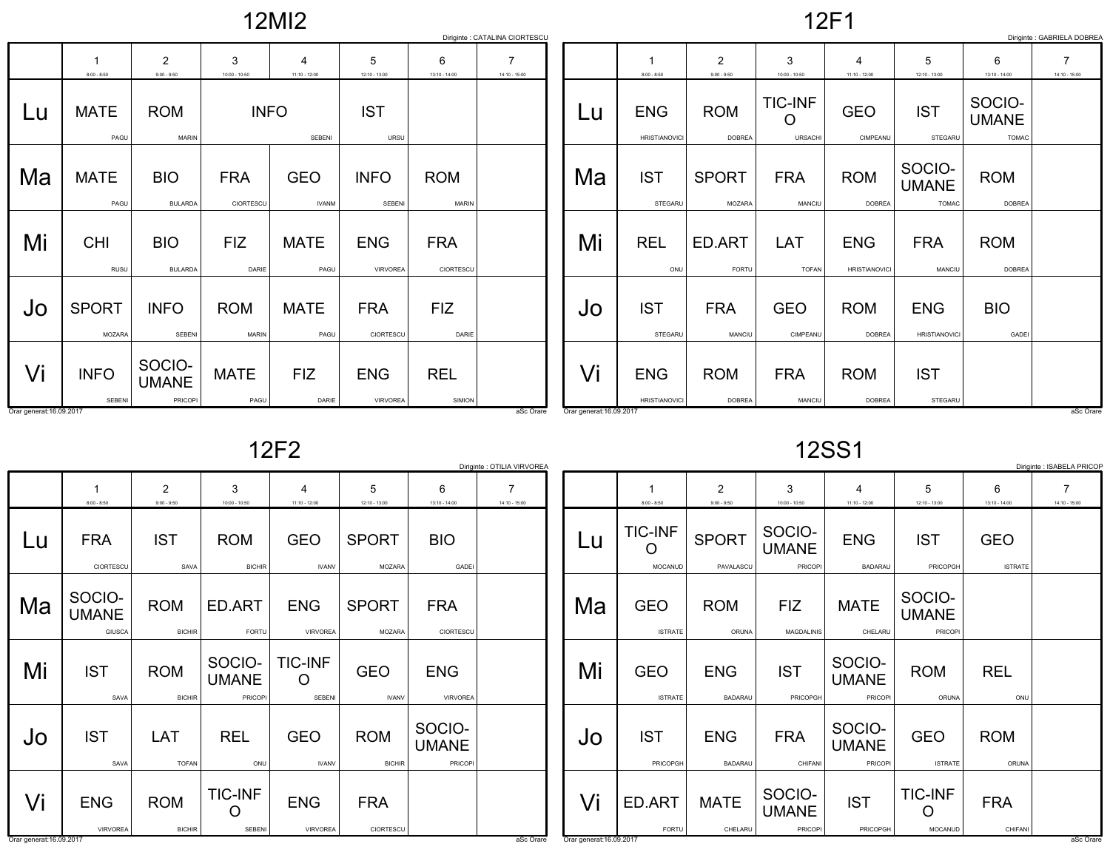12MI2

12F1

|    |                           |                                   |                            |                            |                               |                            | Diriginte : CATALINA CIORTESCU    |
|----|---------------------------|-----------------------------------|----------------------------|----------------------------|-------------------------------|----------------------------|-----------------------------------|
|    | 1<br>$8:00 - 8:50$        | $\overline{2}$<br>$9:00 - 9:50$   | 3<br>$10:00 - 10:50$       | 4<br>$11:10 - 12:00$       | 5<br>12:10 - 13:00            | 6<br>$13:10 - 14:00$       | $\overline{7}$<br>$14:10 - 15:00$ |
| Lu | <b>MATE</b><br>PAGU       | <b>ROM</b><br><b>MARIN</b>        | <b>INFO</b>                | <b>SEBENI</b>              | <b>IST</b><br>URSU            |                            |                                   |
| Ma | <b>MATE</b><br>PAGU       | <b>BIO</b><br><b>BULARDA</b>      | <b>FRA</b><br>CIORTESCU    | <b>GEO</b><br><b>IVANM</b> | <b>INFO</b><br><b>SEBENI</b>  | <b>ROM</b><br><b>MARIN</b> |                                   |
| Mi | <b>CHI</b><br><b>RUSU</b> | <b>BIO</b><br><b>BULARDA</b>      | <b>FIZ</b><br>DARIE        | <b>MATE</b><br>PAGU        | <b>ENG</b><br><b>VIRVOREA</b> | <b>FRA</b><br>CIORTESCU    |                                   |
| Jo | <b>SPORT</b><br>MOZARA    | <b>INFO</b><br><b>SEBENI</b>      | <b>ROM</b><br><b>MARIN</b> | <b>MATE</b><br>PAGU        | <b>FRA</b><br>CIORTESCU       | <b>FIZ</b><br>DARIE        |                                   |
| Vi | <b>INFO</b><br>SEBENI     | SOCIO-<br><b>UMANE</b><br>PRICOPI | <b>MATE</b><br>PAGU        | <b>FIZ</b><br>DARIE        | <b>ENG</b><br><b>VIRVOREA</b> | <b>REL</b><br>SIMION       |                                   |

|    |                                    |                               |                                  |                                    |                                        |                                        | Diriginte : GABRIELA DOBREA |
|----|------------------------------------|-------------------------------|----------------------------------|------------------------------------|----------------------------------------|----------------------------------------|-----------------------------|
|    | 1                                  | $\overline{2}$                | 3                                | 4                                  | 5                                      | 6                                      | 7                           |
|    | $8:00 - 8:50$                      | $9:00 - 9:50$                 | 10:00 - 10:50                    | $11:10 - 12:00$                    | 12:10 - 13:00                          | $13:10 - 14:00$                        | 14:10 - 15:00               |
| Lu | <b>ENG</b><br><b>HRISTIANOVICI</b> | <b>ROM</b><br><b>DOBREA</b>   | <b>TIC-INF</b><br><b>URSACHI</b> | <b>GEO</b><br>CIMPEANU             | <b>IST</b><br><b>STEGARU</b>           | SOCIO-<br><b>UMANE</b><br><b>TOMAC</b> |                             |
| Ma | <b>IST</b><br>STEGARU              | <b>SPORT</b><br><b>MOZARA</b> | <b>FRA</b><br>MANCIU             | <b>ROM</b><br><b>DOBREA</b>        | SOCIO-<br><b>UMANE</b><br><b>TOMAC</b> | <b>ROM</b><br><b>DOBREA</b>            |                             |
| Mi | <b>REL</b><br>ONU                  | ED.ART<br><b>FORTU</b>        | LAT<br><b>TOFAN</b>              | <b>ENG</b><br><b>HRISTIANOVICI</b> | <b>FRA</b><br><b>MANCIU</b>            | <b>ROM</b><br><b>DOBREA</b>            |                             |
| Jo | <b>IST</b><br><b>STEGARU</b>       | <b>FRA</b><br><b>MANCIU</b>   | <b>GEO</b><br>CIMPEANU           | <b>ROM</b><br><b>DOBREA</b>        | <b>ENG</b><br><b>HRISTIANOVICI</b>     | <b>BIO</b><br><b>GADEI</b>             |                             |
| Vi | <b>ENG</b><br><b>HRISTIANOVICI</b> | <b>ROM</b><br><b>DOBREA</b>   | <b>FRA</b><br>MANCIU             | <b>ROM</b><br><b>DOBREA</b>        | <b>IST</b><br>STEGARU                  |                                        |                             |

12F2

|                                |                                  |                             |                                          |                               |                               |                                   | Diriginte : OTILIA VIRVOREA |                         |
|--------------------------------|----------------------------------|-----------------------------|------------------------------------------|-------------------------------|-------------------------------|-----------------------------------|-----------------------------|-------------------------|
|                                | 1<br>$8:00 - 8:50$               | 2<br>$9:00 - 9:50$          | 3<br>$10:00 - 10:50$                     | 4<br>$11:10 - 12:00$          | 5<br>12:10 - 13:00            | 6<br>13:10 - 14:00                | 7<br>$14:10 - 15:00$        |                         |
| Lu                             | <b>FRA</b><br>CIORTESCU          | <b>IST</b><br>SAVA          | <b>ROM</b><br><b>BICHIR</b>              | <b>GEO</b><br><b>IVANV</b>    | <b>SPORT</b><br>MOZARA        | <b>BIO</b><br>GADEI               |                             | $\overline{\mathsf{L}}$ |
| Ma                             | SOCIO-<br><b>UMANE</b><br>GIUSCA | <b>ROM</b><br><b>BICHIR</b> | ED.ART<br>FORTU                          | <b>ENG</b><br><b>VIRVOREA</b> | <b>SPORT</b><br><b>MOZARA</b> | <b>FRA</b><br>CIORTESCU           |                             | Μa                      |
| Mi                             | <b>IST</b><br>SAVA               | <b>ROM</b><br><b>BICHIR</b> | SOCIO-<br><b>UMANE</b><br><b>PRICOPI</b> | <b>TIC-INF</b><br>Ω<br>SEBENI | <b>GEO</b><br><b>IVANV</b>    | <b>ENG</b><br><b>VIRVOREA</b>     |                             | M                       |
| Jo                             | <b>IST</b><br>SAVA               | LAT<br><b>TOFAN</b>         | <b>REL</b><br>ONU                        | <b>GEO</b><br><b>IVANV</b>    | <b>ROM</b><br><b>BICHIR</b>   | SOCIO-<br><b>UMANE</b><br>PRICOPI |                             | Jc                      |
| Vi<br>Orar generat: 16.09.2017 | <b>ENG</b><br><b>VIRVOREA</b>    | <b>ROM</b><br><b>BICHIR</b> | <b>TIC-INF</b><br><b>SEBENI</b>          | <b>ENG</b><br><b>VIRVOREA</b> | <b>FRA</b><br>CIORTESCU       |                                   | aSc Orare                   | Vi<br>Orar genera       |

12SS1

| Diriginte : ISABELA PRICOP       |                              |                                          |                                          |                                          |                              |                    |
|----------------------------------|------------------------------|------------------------------------------|------------------------------------------|------------------------------------------|------------------------------|--------------------|
|                                  | $\overline{2}$               | 3                                        | 4                                        | 5                                        | 6                            | 7<br>14:10 - 15:00 |
| <b>TIC-INF</b><br><b>MOCANUD</b> | <b>SPORT</b><br>PAVALASCU    | SOCIO-<br><b>UMANE</b><br><b>PRICOPI</b> | <b>ENG</b><br><b>BADARAU</b>             | <b>IST</b><br>PRICOPGH                   | <b>GEO</b><br><b>ISTRATE</b> |                    |
| <b>GEO</b><br><b>ISTRATE</b>     | <b>ROM</b><br>ORUNA          | <b>FIZ</b><br><b>MAGDALINIS</b>          | <b>MATE</b><br>CHELARU                   | SOCIO-<br><b>UMANE</b><br><b>PRICOPI</b> |                              |                    |
| <b>GEO</b><br><b>ISTRATE</b>     | <b>ENG</b><br><b>BADARAU</b> | <b>IST</b><br>PRICOPGH                   | SOCIO-<br><b>UMANE</b><br><b>PRICOPI</b> | <b>ROM</b><br>ORUNA                      | <b>REL</b><br>ONU            |                    |
| <b>IST</b><br><b>PRICOPGH</b>    | <b>ENG</b><br><b>BADARAU</b> | <b>FRA</b><br>CHIFANI                    | SOCIO-<br><b>UMANE</b><br>PRICOPI        | <b>GEO</b><br><b>ISTRATE</b>             | <b>ROM</b><br>ORUNA          |                    |
| ED.ART<br><b>FORTU</b>           | <b>MATE</b><br>CHELARU       | SOCIO-<br><b>UMANE</b><br><b>PRICOPI</b> | <b>IST</b><br>PRICOPGH                   | <b>TIC-INF</b><br>MOCANUD                | <b>FRA</b><br>CHIFANI        |                    |
|                                  | $8:00 - 8:50$                | $9:00 - 9:50$                            | $10:00 - 10:50$                          | $11:10 - 12:00$                          | 12:10 - 13:00                | 13:10 - 14:00      |